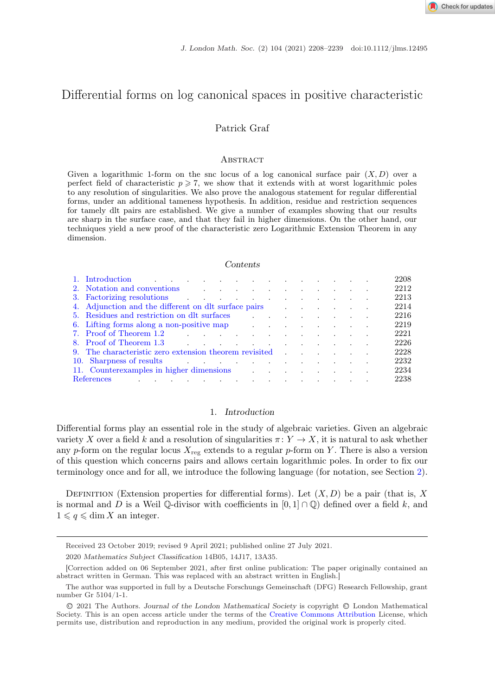# $\mathbf{p}$  is a log canonical space in positive characteristic characteristic characteristic characteristic characteristic characteristic characteristic characteristic characteristic characteristic characteristic characteri

# Patrick Graf

### **ABSTRACT**

Given a logarithmic 1-form on the snc locus of a log canonical surface pair  $(X, D)$  over a perfect field of characteristic  $p \geqslant 7$ , we show that it extends with at worst logarithmic poles to any resolution of singularities. We also prove the analogous statement for regular differential forms, under an additional tameness hypothesis. In addition, residue and restriction sequences for tamely dlt pairs are established. We give a number of examples showing that our results are sharp in the surface case, and that they fail in higher dimensions. On the other hand, our techniques yield a new proof of the characteristic zero Logarithmic Extension Theorem in any dimension.

#### *Contents*

|     | 1. Introduction the contract of the contract of the contract of the contract of the contract of the contract of the contract of the contract of the contract of the contract of the contract of the contract of the contract o |                                                                                                                 |  |  |  |  |  | 2208 |
|-----|--------------------------------------------------------------------------------------------------------------------------------------------------------------------------------------------------------------------------------|-----------------------------------------------------------------------------------------------------------------|--|--|--|--|--|------|
|     | 2. Notation and conventions and conventions are all the set of the set of the set of the set of the set of the set of the set of the set of the set of the set of the set of the set of the set of the set of the set of the s |                                                                                                                 |  |  |  |  |  | 2212 |
|     | 3. Factorizing resolutions                                                                                                                                                                                                     |                                                                                                                 |  |  |  |  |  | 2213 |
|     | 4. Adjunction and the different on dlt surface pairs                                                                                                                                                                           |                                                                                                                 |  |  |  |  |  | 2214 |
|     | 5. Residues and restriction on dlt surfaces                                                                                                                                                                                    |                                                                                                                 |  |  |  |  |  | 2216 |
|     | 6. Lifting forms along a non-positive map $\qquad \qquad \ldots \qquad \qquad \ldots \qquad \ldots$                                                                                                                            |                                                                                                                 |  |  |  |  |  | 2219 |
|     | 7. Proof of Theorem 1.2                                                                                                                                                                                                        | the contract of the contract of the contract of the contract of the contract of the contract of the contract of |  |  |  |  |  | 2221 |
|     | 8. Proof of Theorem 1.3 and the set of the set of the set of the set of the set of the set of the set of the set of the set of the set of the set of the set of the set of the set of the set of the set of the set of the set |                                                                                                                 |  |  |  |  |  | 2226 |
|     | 9. The characteristic zero extension theorem revisited                                                                                                                                                                         |                                                                                                                 |  |  |  |  |  | 2228 |
| 10. | Sharpness of results and the state of the state of the state of the state of the state of the state of the state of the state of the state of the state of the state of the state of the state of the state of the state of th |                                                                                                                 |  |  |  |  |  | 2232 |
|     | 11. Counterexamples in higher dimensions                                                                                                                                                                                       |                                                                                                                 |  |  |  |  |  | 2234 |
|     | the contract of the contract of the contract of the contract of the contract of the contract of the contract of<br>References                                                                                                  |                                                                                                                 |  |  |  |  |  | 2238 |

# 1. *Introduction*

Differential forms play an essential role in the study of algebraic varieties. Given an algebraic variety X over a field k and a resolution of singularities  $\pi: Y \to X$ , it is natural to ask whether any p-form on the regular locus  $X_{\text{reg}}$  extends to a regular p-form on Y. There is also a version of this question which concerns pairs and allows certain logarithmic poles. In order to fix our terminology once and for all, we introduce the following language (for notation, see Section [2\)](#page-4-0).

DEFINITION (Extension properties for differential forms). Let  $(X, D)$  be a pair (that is, X is normal and D is a Weil  $\mathbb Q$ -divisor with coefficients in  $[0, 1] \cap \mathbb Q$  defined over a field k, and  $1 \leqslant q \leqslant \dim X$  an integer.

Received 23 October 2019; revised 9 April 2021; published online 27 July 2021.

<sup>2020</sup> *Mathematics Subject Classification* 14B05, 14J17, 13A35.

<sup>[</sup>Correction added on 06 September 2021, after first online publication: The paper originally contained an abstract written in German. This was replaced with an abstract written in English.]

The author was supported in full by a Deutsche Forschungs Gemeinschaft (DFG) Research Fellowship, grant number Gr 5104/1-1.

<sup>C</sup>❡2021 The Authors. *Journal of the London Mathematical Society* is copyright <sup>C</sup>❡London Mathematical Society. This is an open access article under the terms of the [Creative Commons Attribution](http://creativecommons.org/licenses/by/4.0/) License, which permits use, distribution and reproduction in any medium, provided the original work is properly cited.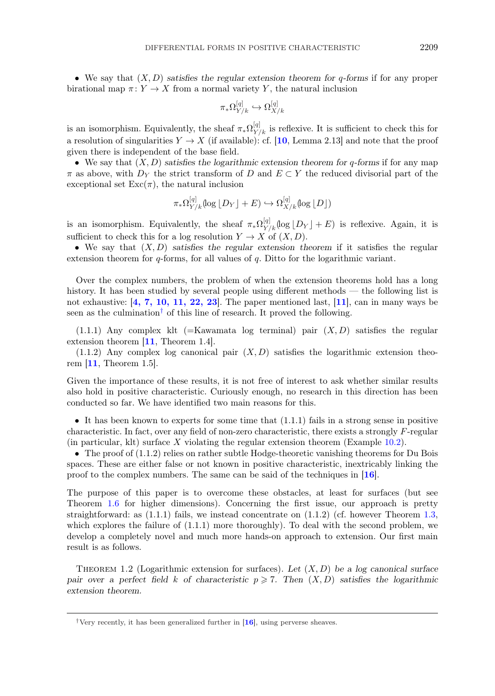<span id="page-1-0"></span>• We say that (X, D) *satisfies the regular extension theorem for* q*-forms* if for any proper birational map  $\pi: Y \to X$  from a normal variety Y, the natural inclusion

$$
\pi_*\Omega^{[q]}_{Y/k}\hookrightarrow \Omega^{[q]}_{X/k}
$$

is an isomorphism. Equivalently, the sheaf  $\pi_*\Omega^{[q]}_{Y/k}$  is reflexive. It is sufficient to check this for a resolution of singularities  $Y \to X$  (if available): cf. [[10](#page-31-0), Lemma 2.13] and note that the proof given there is independent of the base field.

• We say that (X, D) *satisfies the logarithmic extension theorem for* q*-forms* if for any map  $\pi$  as above, with  $D_Y$  the strict transform of D and  $E \subset Y$  the reduced divisorial part of the exceptional set  $\text{Exc}(\pi)$ , the natural inclusion

$$
\pi_*\Omega^{[q]}_{Y/k}(\log\lfloor D_Y\rfloor+E)\hookrightarrow \Omega^{[q]}_{X/k}(\log\lfloor D\rfloor)
$$

is an isomorphism. Equivalently, the sheaf  $\pi_*\Omega^{[q]}_{Y/k}(\log|D_Y|+E)$  is reflexive. Again, it is sufficient to check this for a log resolution  $Y \to X$  of  $(X, D)$ .

• We say that  $(X, D)$  *satisfies the regular extension theorem* if it satisfies the regular extension theorem for  $q$ -forms, for all values of  $q$ . Ditto for the logarithmic variant.

Over the complex numbers, the problem of when the extension theorems hold has a long history. It has been studied by several people using different methods — the following list is not exhaustive:  $[4, 7, 10, 11, 22, 23]$  $[4, 7, 10, 11, 22, 23]$  $[4, 7, 10, 11, 22, 23]$ . The paper mentioned last,  $[11]$  $[11]$  $[11]$ , can in many ways be seen as the culmination† of this line of research. It proved the following.

 $(1.1.1)$  Any complex klt (=Kawamata log terminal) pair  $(X, D)$  satisfies the regular extension theorem [[11](#page-31-0), Theorem 1.4].

(1.1.2) Any complex log canonical pair  $(X, D)$  satisfies the logarithmic extension theorem [[11](#page-31-0), Theorem 1.5].

Given the importance of these results, it is not free of interest to ask whether similar results also hold in positive characteristic. Curiously enough, no research in this direction has been conducted so far. We have identified two main reasons for this.

• It has been known to experts for some time that  $(1.1.1)$  fails in a strong sense in positive characteristic. In fact, over any field of non-zero characteristic, there exists a strongly F-regular (in particular, klt) surface X violating the regular extension theorem (Example [10.2\)](#page-25-0).

• The proof of  $(1.1.2)$  relies on rather subtle Hodge-theoretic vanishing theorems for Du Bois spaces. These are either false or not known in positive characteristic, inextricably linking the proof to the complex numbers. The same can be said of the techniques in [[16](#page-31-0)].

The purpose of this paper is to overcome these obstacles, at least for surfaces (but see Theorem [1.6](#page-3-0) for higher dimensions). Concerning the first issue, our approach is pretty straightforward: as  $(1.1.1)$  fails, we instead concentrate on  $(1.1.2)$  (cf. however Theorem [1.3,](#page-2-0) which explores the failure of (1.1.1) more thoroughly). To deal with the second problem, we develop a completely novel and much more hands-on approach to extension. Our first main result is as follows.

Theorem 1.2 (Logarithmic extension for surfaces). *Let* (X, D) *be a log canonical surface pair over a perfect field* k of characteristic  $p \ge 7$ . Then  $(X, D)$  satisfies the logarithmic *extension theorem.*

<sup>&</sup>lt;sup>†</sup>Very recently, it has been generalized further in  $[16]$  $[16]$  $[16]$ , using perverse sheaves.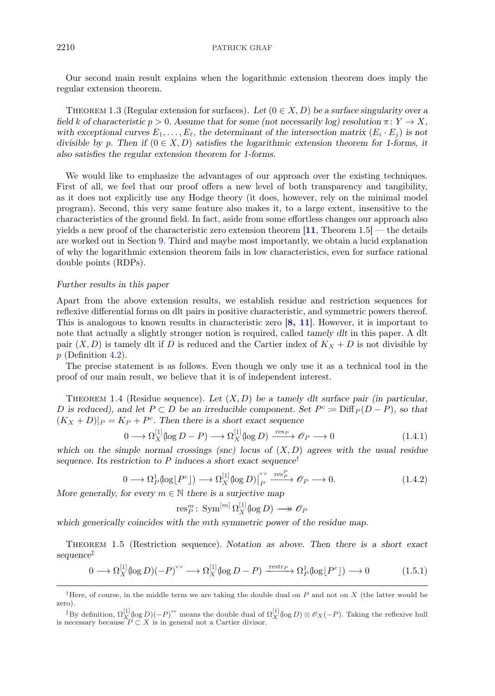## <span id="page-2-0"></span>2210 PATRICK GRAF

Our second main result explains when the logarithmic extension theorem does imply the regular extension theorem.

THEOREM 1.3 (Regular extension for surfaces). Let  $(0 \in X, D)$  be a surface singularity over a *field* k of characteristic  $p > 0$ . Assume that for some (not necessarily log) resolution  $\pi: Y \to X$ , with exceptional curves  $E_1, \ldots, E_{\ell}$ , the determinant of the intersection matrix  $(E_i \cdot E_j)$  is not *divisible by* p. Then if  $(0 \in X, D)$  *satisfies the logarithmic extension theorem for 1-forms, it also satisfies the regular extension theorem for 1-forms.*

We would like to emphasize the advantages of our approach over the existing techniques. First of all, we feel that our proof offers a new level of both transparency and tangibility, as it does not explicitly use any Hodge theory (it does, however, rely on the minimal model program). Second, this very same feature also makes it, to a large extent, insensitive to the characteristics of the ground field. In fact, aside from some effortless changes our approach also yields a new proof of the characteristic zero extension theorem  $[11,$  $[11,$  $[11,$  Theorem 1.5] — the details are worked out in Section [9.](#page-20-0) Third and maybe most importantly, we obtain a lucid explanation of why the logarithmic extension theorem fails in low characteristics, even for surface rational double points (RDPs).

## *Further results in this paper*

Apart from the above extension results, we establish residue and restriction sequences for reflexive differential forms on dlt pairs in positive characteristic, and symmetric powers thereof. This is analogous to known results in characteristic zero  $[8, 11]$  $[8, 11]$  $[8, 11]$ . However, it is important to note that actually a slightly stronger notion is required, called *tamely dlt* in this paper. A dlt pair  $(X, D)$  is tamely dlt if D is reduced and the Cartier index of  $K_X + D$  is not divisible by  $p$  (Definition [4.2\)](#page-6-0).

The precise statement is as follows. Even though we only use it as a technical tool in the proof of our main result, we believe that it is of independent interest.

Theorem 1.4 (Residue sequence). *Let* (X, D) *be a tamely dlt surface pair (in particular,* D is reduced), and let  $P \subset D$  be an irreducible component. Set  $P^c \coloneqq \text{Diff}_P(D - P)$ *, so that*  $(K_X + D)|_P = K_P + P^c$ . Then there is a short exact sequence

$$
0 \longrightarrow \Omega_X^{[1]}(\log D - P) \longrightarrow \Omega_X^{[1]}(\log D) \xrightarrow{\text{res}_P} \mathcal{O}_P \longrightarrow 0 \tag{1.4.1}
$$

*which on the simple normal crossings (snc) locus of* (X, D) *agrees with the usual residue sequence. Its restriction to* P *induces a short exact sequence*†

$$
0 \longrightarrow \Omega_P^1(\log[P^c]) \longrightarrow \Omega_X^{[1]}(\log D)\Big|_P^{\vee \vee} \xrightarrow{\text{res}_P^P} \mathcal{O}_P \longrightarrow 0. \tag{1.4.2}
$$

*More generally, for every*  $m \in \mathbb{N}$  *there is a surjective map* 

$$
\text{res}_P^m\colon\operatorname{Sym}^{[m]}\Omega_X^{[1]}(\log D)\longrightarrow\mathscr{O}_P
$$

*which generically coincides with the* m*th symmetric power of the residue map.*

Theorem 1.5 (Restriction sequence). *Notation as above. Then there is a short exact sequence*‡

$$
0 \longrightarrow \Omega_X^{[1]}(\log D)(-P)^{\vee \vee} \longrightarrow \Omega_X^{[1]}(\log D - P) \xrightarrow{\text{restr}_P} \Omega_P^1(\log[P^c]) \longrightarrow 0 \tag{1.5.1}
$$

<sup>&</sup>lt;sup>†</sup>Here, of course, in the middle term we are taking the double dual on  $P$  and not on  $X$  (the latter would be zero).

<sup>&</sup>lt;sup>‡</sup>By definition,  $\Omega_X^{[1]}(\log D)(-P)$ <sup>ov</sup> means the double dual of  $\Omega_X^{[1]}(\log D) \otimes \mathscr{O}_X(-P)$ . Taking the reflexive hull is necessary because  $P \subset X$  is in general not a Cartier divisor.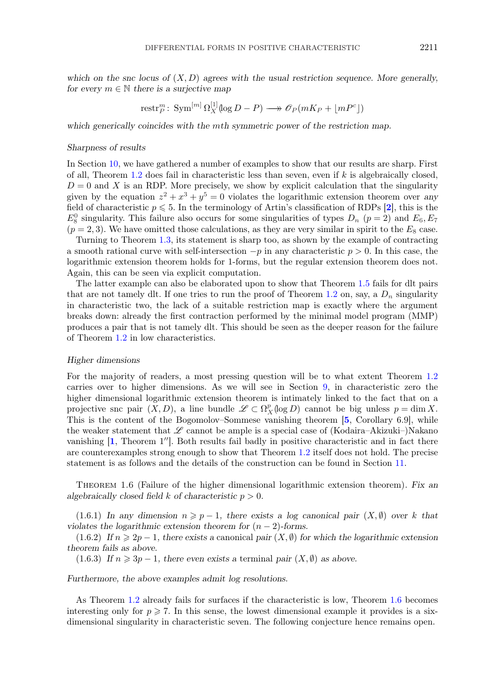<span id="page-3-0"></span>*which on the snc locus of* (X, D) *agrees with the usual restriction sequence. More generally, for every*  $m \in \mathbb{N}$  *there is a surjective map* 

$$
\text{restr}_P^m\colon \operatorname{Sym}^{[m]} \Omega_X^{[1]}(\log D - P) \longrightarrow \mathscr{O}_P(mK_P + \lfloor mP^c \rfloor)
$$

*which generically coincides with the* m*th symmetric power of the restriction map.*

#### *Sharpness of results*

In Section [10,](#page-24-0) we have gathered a number of examples to show that our results are sharp. First of all, Theorem [1.2](#page-1-0) does fail in characteristic less than seven, even if  $k$  is algebraically closed,  $D = 0$  and X is an RDP. More precisely, we show by explicit calculation that the singularity given by the equation  $z^2 + x^3 + y^5 = 0$  violates the logarithmic extension theorem over any field of characteristic  $p \leq 5$ . In the terminology of Artin's classification of RDPs [[2](#page-30-0)], this is the  $E_8^0$  singularity. This failure also occurs for some singularities of types  $D_n$  ( $p=2$ ) and  $E_6, E_7$  $(p = 2, 3)$ . We have omitted those calculations, as they are very similar in spirit to the  $E_8$  case.

Turning to Theorem [1.3,](#page-2-0) its statement is sharp too, as shown by the example of contracting a smooth rational curve with self-intersection  $-p$  in any characteristic  $p > 0$ . In this case, the logarithmic extension theorem holds for 1-forms, but the regular extension theorem does not. Again, this can be seen via explicit computation.

The latter example can also be elaborated upon to show that Theorem [1.5](#page-2-0) fails for dlt pairs that are not tamely dlt. If one tries to run the proof of Theorem [1.2](#page-1-0) on, say, a  $D_n$  singularity in characteristic two, the lack of a suitable restriction map is exactly where the argument breaks down: already the first contraction performed by the minimal model program (MMP) produces a pair that is not tamely dlt. This should be seen as the deeper reason for the failure of Theorem [1.2](#page-1-0) in low characteristics.

## *Higher dimensions*

For the majority of readers, a most pressing question will be to what extent Theorem [1.2](#page-1-0) carries over to higher dimensions. As we will see in Section [9,](#page-20-0) in characteristic zero the higher dimensional logarithmic extension theorem is intimately linked to the fact that on a projective snc pair  $(X, D)$ , a line bundle  $\mathscr{L} \subset \Omega_X^p(\log D)$  cannot be big unless  $p = \dim X$ . This is the content of the Bogomolov–Sommese vanishing theorem [[5](#page-30-0), Corollary 6.9], while the weaker statement that  $\mathscr L$  cannot be ample is a special case of (Kodaira–Akizuki–)Nakano vanishing  $[1,$  $[1,$  $[1,$  Theorem  $1$ ''. Both results fail badly in positive characteristic and in fact there are counterexamples strong enough to show that Theorem [1.2](#page-1-0) itself does not hold. The precise statement is as follows and the details of the construction can be found in Section [11.](#page-26-0)

Theorem 1.6 (Failure of the higher dimensional logarithmic extension theorem). *Fix an algebraically closed field* k *of characteristic* p > 0*.*

 $(1.6.1)$  *In any dimension*  $n \geq p-1$ , there exists a log canonical pair  $(X, \emptyset)$  over k that *violates the logarithmic extension theorem for*  $(n-2)$ *-forms.* 

 $(1.6.2)$  *If*  $n \ge 2p - 1$ , there exists a canonical pair  $(X, \emptyset)$  for which the logarithmic extension *theorem fails as above.*

 $(1.6.3)$  *If*  $n \ge 3p - 1$ , there even exists a terminal pair  $(X, \emptyset)$  as above.

*Furthermore, the above examples admit log resolutions.*

As Theorem [1.2](#page-1-0) already fails for surfaces if the characteristic is low, Theorem 1.6 becomes interesting only for  $p \ge 7$ . In this sense, the lowest dimensional example it provides is a sixdimensional singularity in characteristic seven. The following conjecture hence remains open.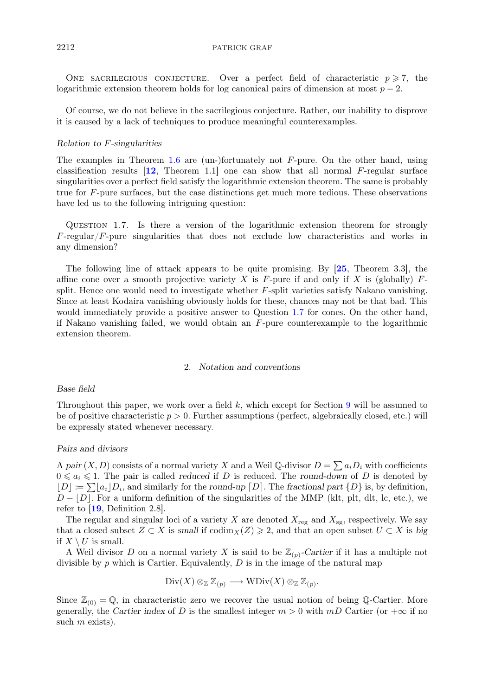<span id="page-4-0"></span>ONE SACRILEGIOUS CONJECTURE. Over a perfect field of characteristic  $p \ge 7$ , the logarithmic extension theorem holds for log canonical pairs of dimension at most  $p-2$ .

Of course, we do not believe in the sacrilegious conjecture. Rather, our inability to disprove it is caused by a lack of techniques to produce meaningful counterexamples.

## *Relation to* F*-singularities*

The examples in Theorem [1.6](#page-3-0) are (un-)fortunately not  $F$ -pure. On the other hand, using classification results  $[12,$  $[12,$  $[12,$  Theorem 1.1 one can show that all normal F-regular surface singularities over a perfect field satisfy the logarithmic extension theorem. The same is probably true for F-pure surfaces, but the case distinctions get much more tedious. These observations have led us to the following intriguing question:

Question 1.7. Is there a version of the logarithmic extension theorem for strongly F-regular/F-pure singularities that does not exclude low characteristics and works in any dimension?

The following line of attack appears to be quite promising. By [[25](#page-31-0), Theorem 3.3], the affine cone over a smooth projective variety X is F-pure if and only if X is (globally)  $F$ split. Hence one would need to investigate whether F-split varieties satisfy Nakano vanishing. Since at least Kodaira vanishing obviously holds for these, chances may not be that bad. This would immediately provide a positive answer to Question 1.7 for cones. On the other hand, if Nakano vanishing failed, we would obtain an F-pure counterexample to the logarithmic extension theorem.

## 2. *Notation and conventions*

## *Base field*

Throughout this paper, we work over a field  $k$ , which except for Section [9](#page-20-0) will be assumed to be of positive characteristic  $p > 0$ . Further assumptions (perfect, algebraically closed, etc.) will be expressly stated whenever necessary.

## *Pairs and divisors*

A pair  $(X, D)$  consists of a normal variety X and a Weil Q-divisor  $D = \sum a_i D_i$  with coefficients  $0 \leq a_i \leq 1$ . The pair is called *reduced* if D is reduced. The *round-down* of D is denoted by  $[D] := \sum a_i |D_i|$ , and similarly for the *round-up*  $[D]$ . The *fractional part*  $\{D\}$  is, by definition,  $D - |D|$ . For a uniform definition of the singularities of the MMP (klt, plt, dlt, lc, etc.), we refer to  $[19,$  $[19,$  $[19,$  Definition 2.8.

The regular and singular loci of a variety X are denoted  $X_{\text{reg}}$  and  $X_{\text{sg}}$ , respectively. We say that a closed subset  $Z \subset X$  is *small* if  $\operatorname{codim}_X(Z) \geqslant 2$ , and that an open subset  $U \subset X$  is *big* if  $X \setminus U$  is small.

A Weil divisor D on a normal variety X is said to be  $\mathbb{Z}_{(p)}$ -Cartier if it has a multiple not divisible by  $p$  which is Cartier. Equivalently,  $D$  is in the image of the natural map

$$
\mathrm{Div}(X) \otimes_{\mathbb{Z}} \mathbb{Z}_{(p)} \longrightarrow \mathrm{WDiv}(X) \otimes_{\mathbb{Z}} \mathbb{Z}_{(p)}.
$$

Since  $\mathbb{Z}_{(0)} = \mathbb{Q}$ , in characteristic zero we recover the usual notion of being Q-Cartier. More generally, the *Cartier index* of D is the smallest integer  $m > 0$  with  $mD$  Cartier (or  $+\infty$  if no such  $m$  exists).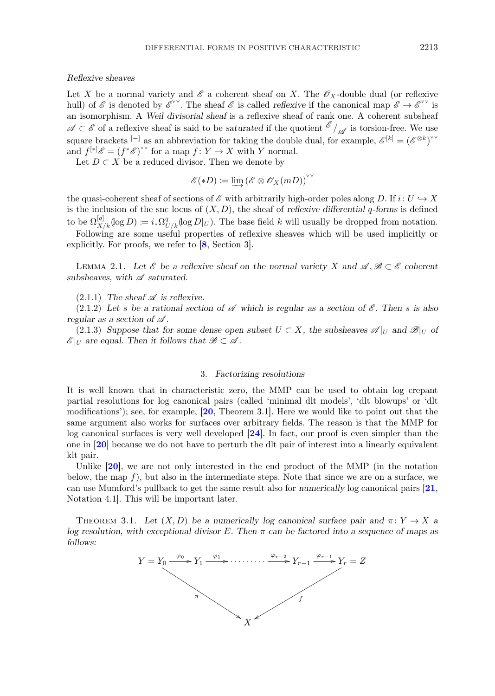## <span id="page-5-0"></span>*Reflexive sheaves*

Let X be a normal variety and  $\mathscr E$  a coherent sheaf on X. The  $\mathscr O_X$ -double dual (or reflexive hull) of  $\mathscr E$  is denoted by  $\mathscr E^{\vee\vee}$ . The sheaf  $\mathscr E$  is called *reflexive* if the canonical map  $\mathscr E \to \mathscr E^{\vee\vee}$  is an isomorphism. A *Weil divisorial sheaf* is a reflexive sheaf of rank one. A coherent subsheaf *A* ⊂  $\mathscr E$  of a reflexive sheaf is said to be *saturated* if the quotient  $\mathscr E$  / $\mathscr A$  is torsion-free. We use square brackets <sup>[-]</sup> as an abbreviation for taking the double dual, for example,  $\mathscr{E}^{[k]} = (\mathscr{E}^{\otimes k})^{\vee\vee}$ and  $f^{[*]}\mathscr{E} = (f^*\mathscr{E})^{\vee\vee}$  for a map  $f: Y \to X$  with Y normal.

Let  $D \subset X$  be a reduced divisor. Then we denote by

$$
\mathscr{E}(*D) \coloneqq \varinjlim (\mathscr{E} \otimes \mathscr{O}_X(mD))^\vee
$$

the quasi-coherent sheaf of sections of  $\mathscr E$  with arbitrarily high-order poles along D. If  $i: U \hookrightarrow X$ is the inclusion of the snc locus of  $(X, D)$ , the sheaf of *reflexive differential* q-forms is defined to be  $\Omega_{X/k}^{[q]}(\log D) \coloneqq i_* \Omega_{U/k}^q(\log D|_U)$ . The base field k will usually be dropped from notation.

Following are some useful properties of reflexive sheaves which will be used implicitly or explicitly. For proofs, we refer to [[8](#page-30-0), Section 3].

LEMMA 2.1. Let  $\mathscr E$  be a reflexive sheaf on the normal variety X and  $\mathscr A, \mathscr B \subset \mathscr E$  coherent *subsheaves, with A saturated.*

 $(2.1.1)$  *The sheaf*  $\mathscr A$  *is reflexive.* 

 $(2.1.2)$  Let s be a rational section of  $\mathscr A$  which is regular as a section of  $\mathscr E$ . Then s is also *regular as a section of A .*

(2.1.3) Suppose that for some dense open subset  $U \subset X$ , the subsheaves  $\mathscr{A}|_U$  and  $\mathscr{B}|_U$  of  $\mathscr{E}|_U$  are equal. Then it follows that  $\mathscr{B} \subset \mathscr{A}$ .

## 3. *Factorizing resolutions*

It is well known that in characteristic zero, the MMP can be used to obtain log crepant partial resolutions for log canonical pairs (called 'minimal dlt models', 'dlt blowups' or 'dlt modifications'); see, for example,  $[20,$  $[20,$  $[20,$  Theorem 3.1. Here we would like to point out that the same argument also works for surfaces over arbitrary fields. The reason is that the MMP for log canonical surfaces is very well developed [[24](#page-31-0)]. In fact, our proof is even simpler than the one in [[20](#page-31-0)] because we do not have to perturb the dlt pair of interest into a linearly equivalent klt pair.

Unlike  $[20]$  $[20]$  $[20]$ , we are not only interested in the end product of the MMP (in the notation below, the map  $f$ ), but also in the intermediate steps. Note that since we are on a surface, we can use Mumford's pullback to get the same result also for *numerically* log canonical pairs [[21](#page-31-0), Notation 4.1]. This will be important later.

THEOREM 3.1. Let  $(X, D)$  be a numerically log canonical surface pair and  $\pi: Y \to X$  a *log resolution, with exceptional divisor* E*. Then* π *can be factored into a sequence of maps as follows:*

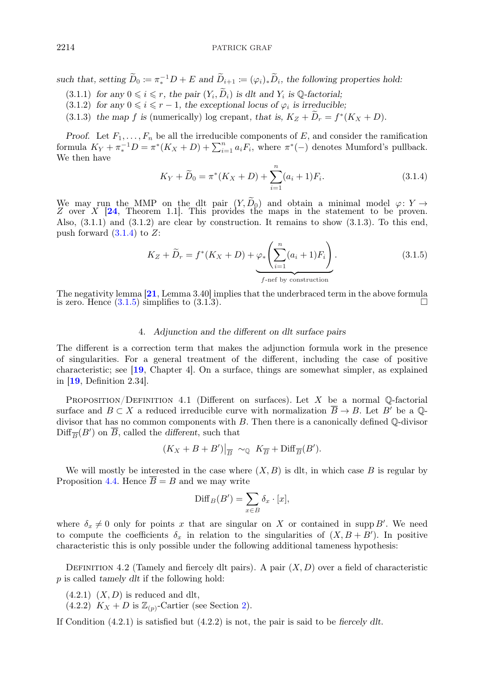<span id="page-6-0"></span>*such that, setting*  $\widetilde{D}_0 := \pi_*^{-1}D + E$  *and*  $\widetilde{D}_{i+1} := (\varphi_i)_*\widetilde{D}_i$ *, the following properties hold:* 

- $(3.1.1)$  *for any*  $0 \leq i \leq r$ , *the pair*  $(Y_i, \tilde{D}_i)$  *is dlt and*  $Y_i$  *is* Q-factorial;
- (3.1.2) for any  $0 \le i \le r 1$ , the exceptional locus of  $\varphi_i$  is irreducible;
- (3.1.3) the map f is (numerically) log crepant, that is,  $K_Z + \tilde{D}_r = f^*(K_X + D)$ .

*Proof.* Let  $F_1, \ldots, F_n$  be all the irreducible components of E, and consider the ramification formula  $K_Y + \pi_*^{-1}D = \pi^*(K_X + D) + \sum_{i=1}^n a_i F_i$ , where  $\pi^*(-)$  denotes Mumford's pullback. We then have

$$
K_Y + \widetilde{D}_0 = \pi^*(K_X + D) + \sum_{i=1}^n (a_i + 1)F_i.
$$
 (3.1.4)

We may run the MMP on the dlt pair  $(Y, D_0)$  and obtain a minimal model  $\varphi: Y \to Z$  over X [[24](#page-31-0), Theorem 1.1]. This provides the maps in the statement to be proven. Also,  $(3.1.1)$  and  $(3.1.2)$  are clear by construction. It remains to show  $(3.1.3)$ . To this end, push forward  $(3.1.4)$  to  $Z$ :

$$
K_Z + \widetilde{D}_r = f^*(K_X + D) + \varphi_* \left( \sum_{i=1}^n (a_i + 1) F_i \right).
$$
 (3.1.5)  
*f*-nef by construction

The negativity lemma [[21](#page-31-0), Lemma 3.40] implies that the underbraced term in the above formula is zero. Hence  $(3.1.5)$  simplifies to  $(3.1.3)$ .

## 4. *Adjunction and the different on dlt surface pairs*

The different is a correction term that makes the adjunction formula work in the presence of singularities. For a general treatment of the different, including the case of positive characteristic; see [[19](#page-31-0), Chapter 4]. On a surface, things are somewhat simpler, as explained in [[19](#page-31-0), Definition 2.34].

PROPOSITION/DEFINITION 4.1 (Different on surfaces). Let X be a normal  $\mathbb{Q}$ -factorial surface and  $B \subset X$  a reduced irreducible curve with normalization  $\overline{B} \to B$ . Let B' be a Qdivisor that has no common components with B. Then there is a canonically defined Q-divisor  $\text{Diff}_{\overline{B}}(B')$  on B, called the *different*, such that

$$
(K_X + B + B')|_{\overline{B}} \sim_{\mathbb{Q}} K_{\overline{B}} + \text{Diff}_{\overline{B}}(B').
$$

We will mostly be interested in the case where  $(X, B)$  is dlt, in which case B is regular by Proposition [4.4.](#page-7-0) Hence  $\overline{B} = B$  and we may write

$$
\text{Diff}_B(B') = \sum_{x \in B} \delta_x \cdot [x],
$$

where  $\delta_x \neq 0$  only for points x that are singular on X or contained in supp B'. We need to compute the coefficients  $\delta_x$  in relation to the singularities of  $(X, B + B')$ . In positive characteristic this is only possible under the following additional tameness hypothesis:

DEFINITION 4.2 (Tamely and fiercely dlt pairs). A pair  $(X, D)$  over a field of characteristic p is called *tamely dlt* if the following hold:

- $(4.2.1)$   $(X, D)$  is reduced and dlt,
- $(4.2.2)$  $(4.2.2)$   $K_X + D$  is  $\mathbb{Z}_{(p)}$ -Cartier (see Section 2).

If Condition (4.2.1) is satisfied but (4.2.2) is not, the pair is said to be *fiercely dlt*.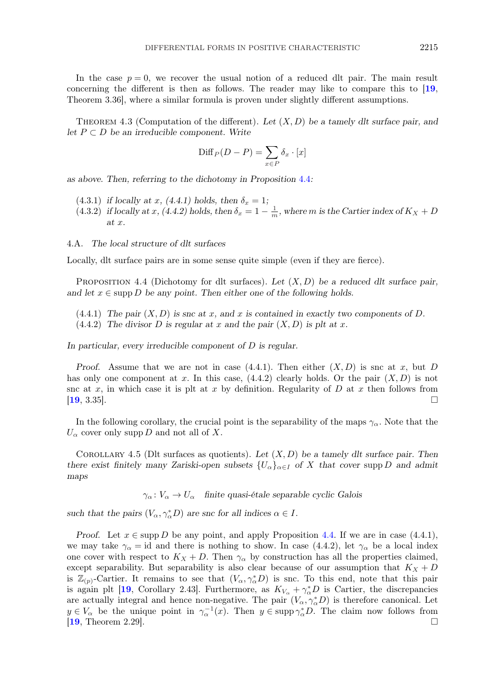<span id="page-7-0"></span>In the case  $p = 0$ , we recover the usual notion of a reduced dlt pair. The main result concerning the different is then as follows. The reader may like to compare this to [[19](#page-31-0), Theorem 3.36], where a similar formula is proven under slightly different assumptions.

Theorem 4.3 (Computation of the different). *Let* (X, D) *be a tamely dlt surface pair, and let* P ⊂ D *be an irreducible component. Write*

$$
\text{Diff}_P(D-P) = \sum_{x \in P} \delta_x \cdot [x]
$$

*as above. Then, referring to the dichotomy in Proposition* 4.4*:*

- $(4.3.1)$  *if locally at x,*  $(4.4.1)$  holds, then  $\delta_x = 1$ ;
- (4.3.2) *if locally at x*, (4.4.2) holds, then  $\delta_x = 1 \frac{1}{m}$ , where m is the Cartier index of  $K_X + D$ *at* x*.*

## 4.A. *The local structure of dlt surfaces*

Locally, dlt surface pairs are in some sense quite simple (even if they are fierce).

Proposition 4.4 (Dichotomy for dlt surfaces). *Let* (X, D) *be a reduced dlt surface pair,* and let  $x \in \text{supp } D$  be any point. Then either one of the following holds.

- $(4.4.1)$  *The pair*  $(X, D)$  *is snc at x, and x is contained in exactly two components of D.*
- $(4.4.2)$  *The divisor D is regular at x and the pair*  $(X, D)$  *is plt at x.*

*In particular, every irreducible component of* D *is regular.*

*Proof.* Assume that we are not in case  $(4.4.1)$ . Then either  $(X, D)$  is snc at x, but D has only one component at x. In this case,  $(4.4.2)$  clearly holds. Or the pair  $(X, D)$  is not snc at x, in which case it is plt at x by definition. Regularity of  $D$  at x then follows from  $[19, 3.35]$  $[19, 3.35]$  $[19, 3.35]$ .

In the following corollary, the crucial point is the separability of the maps  $\gamma_{\alpha}$ . Note that the  $U_{\alpha}$  cover only supp D and not all of X.

Corollary 4.5 (Dlt surfaces as quotients). *Let* (X, D) *be a tamely dlt surface pair. Then there exist finitely many Zariski-open subsets*  $\{U_{\alpha}\}_{{\alpha \in I}}$  *of* X *that cover* supp D *and admit maps*

 $\gamma_{\alpha} : V_{\alpha} \to U_{\alpha}$  finite quasi-étale separable cyclic Galois

such that the pairs  $(V_{\alpha}, \gamma_{\alpha}^* D)$  are snc for all indices  $\alpha \in I$ .

*Proof.* Let  $x \in \text{supp } D$  be any point, and apply Proposition 4.4. If we are in case (4.4.1), we may take  $\gamma_{\alpha} = id$  and there is nothing to show. In case (4.4.2), let  $\gamma_{\alpha}$  be a local index one cover with respect to  $K_X + D$ . Then  $\gamma_\alpha$  by construction has all the properties claimed, except separability. But separability is also clear because of our assumption that  $K_X + D$ is  $\mathbb{Z}_{(p)}$ -Cartier. It remains to see that  $(V_\alpha, \gamma_\alpha^* D)$  is snc. To this end, note that this pair is again plt [[19](#page-31-0), Corollary 2.43]. Furthermore, as  $K_{V_{\alpha}} + \gamma_{\alpha}^* D$  is Cartier, the discrepancies are actually integral and hence non-negative. The pair  $(V_{\alpha}, \gamma_{\alpha}^* D)$  is therefore canonical. Let  $y \in V_\alpha$  be the unique point in  $\gamma_\alpha^{-1}(x)$ . Then  $y \in \text{supp } \gamma_\alpha^* D$ . The claim now follows from  $[19,$  $[19,$  $[19,$  Theorem 2.29].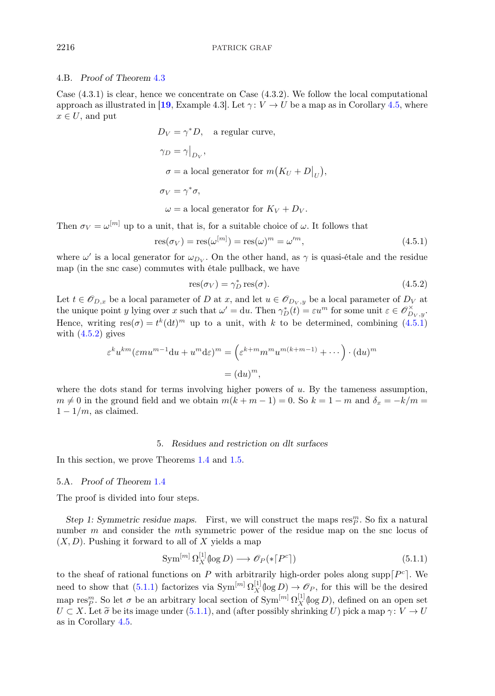## <span id="page-8-0"></span>4.B. *Proof of Theorem* [4.3](#page-7-0)

Case  $(4.3.1)$  is clear, hence we concentrate on Case  $(4.3.2)$ . We follow the local computational approach as illustrated in [[19](#page-31-0), Example 4.3]. Let  $\gamma: V \to U$  be a map as in Corollary [4.5,](#page-7-0) where  $x \in U$ , and put

$$
D_V = \gamma^* D, \quad \text{a regular curve,}
$$
\n
$$
\gamma_D = \gamma \big|_{D_V},
$$
\n
$$
\sigma = \text{a local generator for } m(K_U + D \big|_U),
$$
\n
$$
\sigma_V = \gamma^* \sigma,
$$
\n
$$
\omega = \text{a local generator for } K_V + D_V.
$$

Then  $\sigma_V = \omega^{[m]}$  up to a unit, that is, for a suitable choice of  $\omega$ . It follows that

$$
res(\sigma_V) = res(\omega^{[m]}) = res(\omega)^m = \omega'^m,
$$
\n(4.5.1)

where  $\omega'$  is a local generator for  $\omega_{D_V}$ . On the other hand, as  $\gamma$  is quasi-étale and the residue map (in the snc case) commutes with étale pullback, we have

$$
res(\sigma_V) = \gamma_D^* res(\sigma). \tag{4.5.2}
$$

Let  $t \in \mathcal{O}_{D,x}$  be a local parameter of D at x, and let  $u \in \mathcal{O}_{D_v, y}$  be a local parameter of  $D_V$  at the unique point y lying over x such that  $\omega' = du$ . Then  $\gamma_D^*(t) = \varepsilon u^m$  for some unit  $\varepsilon \in \mathscr{O}_{D_V, y}^{\times}$ . Hence, writing  $res(\sigma) = t^k(dt)^m$  up to a unit, with k to be determined, combining (4.5.1) with  $(4.5.2)$  gives

$$
\varepsilon^k u^{km} (\varepsilon m u^{m-1} du + u^m d\varepsilon)^m = \left(\varepsilon^{k+m} m^m u^{m(k+m-1)} + \cdots\right) \cdot (du)^m
$$

$$
= (du)^m,
$$

where the dots stand for terms involving higher powers of  $u$ . By the tameness assumption,  $m \neq 0$  in the ground field and we obtain  $m(k + m - 1) = 0$ . So  $k = 1 - m$  and  $\delta_x = -k/m =$  $1 - 1/m$ , as claimed.

# 5. *Residues and restriction on dlt surfaces*

In this section, we prove Theorems [1.4](#page-2-0) and [1.5.](#page-2-0)

## 5.A. *Proof of Theorem* [1.4](#page-2-0)

The proof is divided into four steps.

Step 1: Symmetric residue maps. First, we will construct the maps  $\text{res}_{P}^{m}$ . So fix a natural number m and consider the mth symmetric power of the residue map on the snc locus of  $(X, D)$ . Pushing it forward to all of X yields a map

$$
\text{Sym}^{[m]} \Omega_X^{[1]}(\log D) \longrightarrow \mathscr{O}_P(\ast \lceil P^c \rceil) \tag{5.1.1}
$$

to the sheaf of rational functions on P with arbitrarily high-order poles along supp $\lceil P^c \rceil$ . We need to show that  $(5.1.1)$  factorizes via  $\text{Sym}^{[m]} \Omega_X^{[1]}(\log D) \to \mathscr{O}_P$ , for this will be the desired map res<sup>m</sup>. So let  $\sigma$  be an arbitrary local section of  $\text{Sym}^{[m]} \Omega_X^{[1]}(\log D)$ , defined on an open set  $U \subset X$ . Let  $\tilde{\sigma}$  be its image under (5.1.1), and (after possibly shrinking U) pick a map  $\gamma: V \to U$ as in Corollary [4.5.](#page-7-0)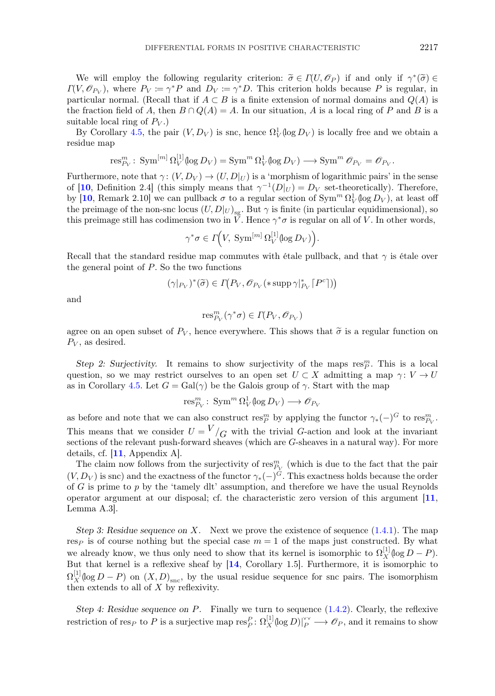We will employ the following regularity criterion:  $\tilde{\sigma} \in \Gamma(U, \mathscr{O}_P)$  if and only if  $\gamma^*(\tilde{\sigma}) \in$  $\Gamma(V, \mathscr{O}_{P_V})$ , where  $P_V := \gamma^*P$  and  $D_V := \gamma^*D$ . This criterion holds because P is regular, in particular normal. (Recall that if  $A \subset B$  is a finite extension of normal domains and  $Q(A)$  is the fraction field of A, then  $B \cap Q(A) = A$ . In our situation, A is a local ring of P and B is a suitable local ring of  $P_V$ .)

By Corollary [4.5,](#page-7-0) the pair  $(V, D_V)$  is snc, hence  $\Omega^1_V(\log D_V)$  is locally free and we obtain a residue map

$$
\operatorname{res}_{P_V}^m: \operatorname{Sym}^{[m]} \Omega_V^{[1]}(\log D_V) = \operatorname{Sym}^m \Omega_V^1(\log D_V) \longrightarrow \operatorname{Sym}^m \mathscr{O}_{P_V} = \mathscr{O}_{P_V}.
$$

Furthermore, note that  $\gamma: (V, D_V) \to (U, D|_U)$  is a 'morphism of logarithmic pairs' in the sense of [[10](#page-31-0), Definition 2.4] (this simply means that  $\gamma^{-1}(D|_U) = D_V$  set-theoretically). Therefore, by [[10](#page-31-0), Remark 2.10] we can pullback  $\sigma$  to a regular section of  $\text{Sym}^m \Omega_V^1(\log D_V)$ , at least off the preimage of the non-snc locus  $(U, D|_U)_{sg}$ . But  $\gamma$  is finite (in particular equidimensional), so this preimage still has codimension two in  $\check{V}$ . Hence  $\gamma^*\sigma$  is regular on all of V. In other words,

$$
\gamma^* \sigma \in \Gamma(V, \operatorname{Sym}^{[m]} \Omega_V^{[1]}(\log D_V)).
$$

Recall that the standard residue map commutes with étale pullback, and that  $\gamma$  is étale over the general point of  $P$ . So the two functions

$$
(\gamma|_{P_V})^*(\widetilde{\sigma}) \in \Gamma(P_V, \mathscr{O}_{P_V}(* \operatorname{supp} \gamma|_{P_V}^*[P^c]))
$$

and

$$
\text{res}_{P_V}^m(\gamma^*\sigma) \in \Gamma(P_V, \mathscr{O}_{P_V})
$$

agree on an open subset of  $P_V$ , hence everywhere. This shows that  $\tilde{\sigma}$  is a regular function on  $P_V$ , as desired.

Step 2: Surjectivity. It remains to show surjectivity of the maps  $res_{P}^{m}$ . This is a local question, so we may restrict ourselves to an open set  $U \subset X$  admitting a map  $\gamma: V \to U$ as in Corollary [4.5.](#page-7-0) Let  $G = \text{Gal}(\gamma)$  be the Galois group of  $\gamma$ . Start with the map

$$
\operatorname{res}_{P_V}^m\colon \operatorname{Sym}^m \Omega^1_V(\log D_V) \longrightarrow \mathscr{O}_{P_V}
$$

as before and note that we can also construct res<sup>m</sup> by applying the functor  $\gamma_*(-)^G$  to res<sub> $P_V$ </sub>. This means that we consider  $U = V / G$  with the trivial G-action and look at the invariant sections of the relevant push-forward sheaves (which are G-sheaves in a natural way). For more details, cf. [[11](#page-31-0), Appendix A].

The claim now follows from the surjectivity of  $\text{res}_{P_V}^m$  (which is due to the fact that the pair  $(V, D_V)$  is snc) and the exactness of the functor  $\gamma_*(-)^G$ . This exactness holds because the order of G is prime to  $p$  by the 'tamely dlt' assumption, and therefore we have the usual Reynolds operator argument at our disposal; cf. the characteristic zero version of this argument [[11](#page-31-0), Lemma A.3].

*Step 3: Residue sequence on* X*.* Next we prove the existence of sequence [\(1.4.1\)](#page-2-0). The map res<sub>P</sub> is of course nothing but the special case  $m = 1$  of the maps just constructed. By what we already know, we thus only need to show that its kernel is isomorphic to  $\Omega_X^{[1]}(\log D - P)$ . But that kernel is a reflexive sheaf by [[14](#page-31-0), Corollary 1.5]. Furthermore, it is isomorphic to  $\Omega_X^{[1]}(\log D - P)$  on  $(X, D)_{\text{snc}}$ , by the usual residue sequence for snc pairs. The isomorphism then extends to all of X by reflexivity.

*Step 4: Residue sequence on P.* Finally we turn to sequence  $(1.4.2)$ . Clearly, the reflexive restriction of res<sub>P</sub> to P is a surjective map  $res_P^P: \Omega_X^{[1]}(\log D)|_P^{\vee\vee} \longrightarrow \mathscr{O}_P$ , and it remains to show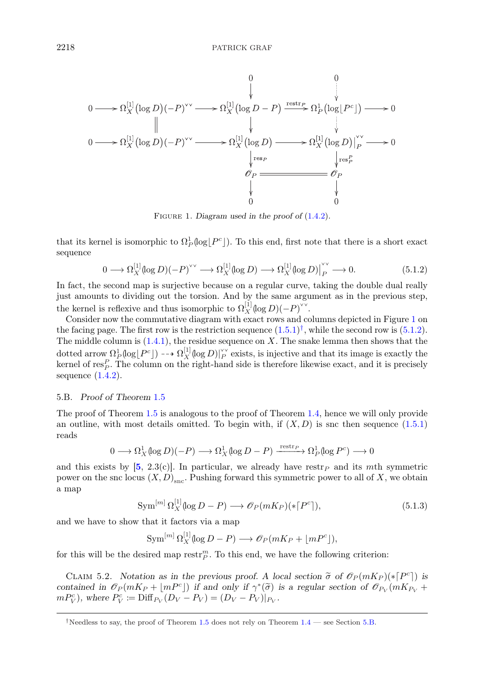

Figure 1. *Diagram used in the proof of* [\(1.4.2\)](#page-2-0)*.*

that its kernel is isomorphic to  $\Omega_P^1(\log[P^c])$ . To this end, first note that there is a short exact sequence

$$
0 \longrightarrow \Omega_X^{[1]}(\log D)(-P)^{\vee \vee} \longrightarrow \Omega_X^{[1]}(\log D) \longrightarrow \Omega_X^{[1]}(\log D)|_P^{\vee \vee} \longrightarrow 0. \tag{5.1.2}
$$

In fact, the second map is surjective because on a regular curve, taking the double dual really just amounts to dividing out the torsion. And by the same argument as in the previous step, the kernel is reflexive and thus isomorphic to  $\Omega_X^{[1]}(\log D)(-P)^{\vee\vee}$ .

Consider now the commutative diagram with exact rows and columns depicted in Figure 1 on the facing page. The first row is the restriction sequence  $(1.5.1)^{\dagger}$  $(1.5.1)^{\dagger}$ , while the second row is (5.1.2). The middle column is  $(1.4.1)$ , the residue sequence on X. The snake lemma then shows that the dotted arrow  $\Omega_P^1(\log[P^c]) \dashrightarrow \Omega_X^{[1]}(\log D)|_P^{\vee\vee}$  exists, is injective and that its image is exactly the kernel of  $\operatorname{res}_P^P$ . The column on the right-hand side is therefore likewise exact, and it is precisely sequence  $(1.4.2)$ .

# 5.B. *Proof of Theorem* [1.5](#page-2-0)

The proof of Theorem [1.5](#page-2-0) is analogous to the proof of Theorem [1.4,](#page-2-0) hence we will only provide an outline, with most details omitted. To begin with, if  $(X, D)$  is snc then sequence  $(1.5.1)$ reads

$$
0\longrightarrow \Omega^1_X(\log D)(-P)\longrightarrow \Omega^1_X(\log D-P)\xrightarrow{\operatorname{restr}_P} \Omega^1_P(\log P^c)\longrightarrow 0
$$

and this exists by [[5](#page-30-0), 2.3(c)]. In particular, we already have restr<sub>P</sub> and its mth symmetric power on the snc locus  $(X, D)_{\text{snc}}$ . Pushing forward this symmetric power to all of X, we obtain a map

$$
\text{Sym}^{[m]} \Omega_X^{[1]}(\log D - P) \longrightarrow \mathcal{O}_P(mK_P)(* [P^c]),\tag{5.1.3}
$$

and we have to show that it factors via a map

$$
\operatorname{Sym}^{[m]} \Omega_X^{[1]}(\log D - P) \longrightarrow \mathscr{O}_P(mK_P + \lfloor mP^c \rfloor),
$$

for this will be the desired map  $\operatorname{restr}_P^m$ . To this end, we have the following criterion:

CLAIM 5.2. *Notation as in the previous proof. A local section*  $\tilde{\sigma}$  of  $\mathcal{O}_P(mK_P)(* [P^c])$  *is*<br>privided in  $\mathcal{O}_P(mK_P + |mP^c|)$  if and only if  $\alpha^*(\tilde{\sigma})$  is a regular section of  $\mathcal{O}_P(mK_P +$ *contained in*  $\mathscr{O}_P(mK_P + |mP^c|)$  *if and only if*  $\gamma^*(\tilde{\sigma})$  *is a regular section of*  $\mathscr{O}_{P_V}(mK_{P_V} +$  $m P_V^c$ ), where  $P_V^c := \text{Diff}_{P_V}(D_V - P_V) = (D_V - P_V)|_{P_V}$ .

<sup>&</sup>lt;sup>†</sup>Needless to say, the proof of Theorem [1.5](#page-2-0) does not rely on Theorem  $1.4$  — see Section 5.B.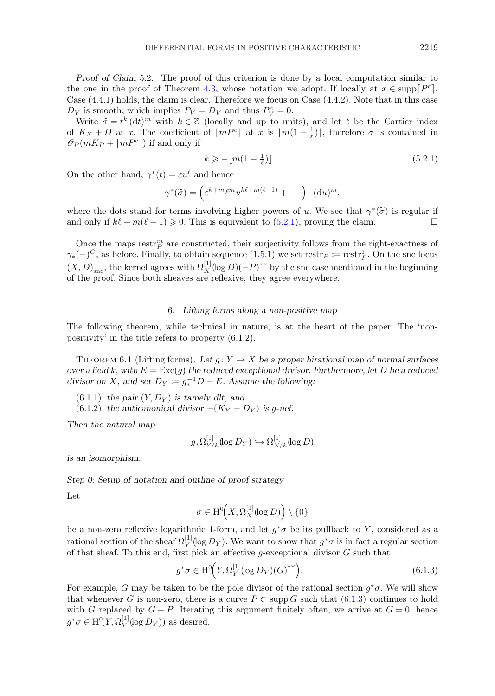<span id="page-11-0"></span>*Proof of Claim* 5.2. The proof of this criterion is done by a local computation similar to the one in the proof of Theorem [4.3,](#page-7-0) whose notation we adopt. If locally at  $x \in \text{supp}[P^c]$ , Case (4.4.1) holds, the claim is clear. Therefore we focus on Case (4.4.2). Note that in this case  $D_V$  is smooth, which implies  $P_V = D_V$  and thus  $P_V^c = 0$ .

Write  $\tilde{\sigma} = t^k (\text{d}t)^m$  with  $k \in \mathbb{Z}$  (locally and up to units), and let  $\ell$  be the Cartier index  $K_X + D$  at  $x$ . The coefficient of  $\lfloor mP^c \rfloor$  at  $x$  is  $\lfloor m(1 - \frac{1}{2}) \rfloor$  therefore  $\tilde{\sigma}$  is contained in of  $K_X + D$  at x. The coefficient of  $\lfloor mP^c \rfloor$  at x is  $\lfloor m(1 - \frac{1}{\ell}) \rfloor$ , therefore  $\tilde{\sigma}$  is contained in  $\mathscr{O}_{\mathcal{D}}(mK_D + \lfloor mP^c \rfloor)$  if and only if  $\mathscr{O}_P(mK_P + |mP^c|)$  if and only if

$$
k \geqslant -\lfloor m(1 - \frac{1}{\ell}) \rfloor. \tag{5.2.1}
$$

On the other hand,  $\gamma^*(t) = \varepsilon u^{\ell}$  and hence

$$
\gamma^*(\widetilde{\sigma}) = \left(\varepsilon^{k+m} \ell^m u^{k\ell+m(\ell-1)} + \cdots\right) \cdot (\mathrm{d} u)^m,
$$

where the dots stand for terms involving higher powers of u. We see that  $\gamma^*(\tilde{\sigma})$  is regular if and only if  $k\ell + m(\ell - 1) \ge 0$ . This is equivalent to (5.2.1), proving the claim. and only if  $k\ell + m(\ell - 1) \geq 0$ . This is equivalent to (5.2.1), proving the claim.

Once the maps restr<sup>m</sup> are constructed, their surjectivity follows from the right-exactness of  $\gamma_*(-)^G$ , as before. Finally, to obtain sequence  $(1.5.1)$  we set restr $_P := \text{restr}_P^1$ . On the snc locus  $(X, D)_{\text{snc}}$ , the kernel agrees with  $\Omega_X^{[1]}(\log D)(-P)^{\vee\vee}$  by the snc case mentioned in the beginning of the proof. Since both sheaves are reflexive, they agree everywhere.

## 6. *Lifting forms along a non-positive map*

The following theorem, while technical in nature, is at the heart of the paper. The 'nonpositivity' in the title refers to property (6.1.2).

THEOREM 6.1 (Lifting forms). Let  $g: Y \to X$  be a proper birational map of normal surfaces *over a field* k, with  $E = \text{Exc}(g)$  the reduced exceptional divisor. Furthermore, let D be a reduced *divisor on* X, and set  $D_Y := g_*^{-1}D + E$ . Assume the following:

- $(6.1.1)$  *the pair*  $(Y, D_Y)$  *is tamely dlt, and*
- (6.1.2) *the anticanonical divisor*  $-(K_Y + D_Y)$  *is g-nef.*

*Then the natural map*

$$
g_*\Omega^{[1]}_{Y/k}(\log D_Y) \hookrightarrow \Omega^{[1]}_{X/k}(\log D)
$$

*is an isomorphism.*

*Step 0: Setup of notation and outline of proof strategy*

Let

$$
\sigma \in \mathrm{H}^0\!\Big(X,\Omega_X^{[1]}(\!\log D)\Big) \setminus \{0\}
$$

be a non-zero reflexive logarithmic 1-form, and let  $g^*\sigma$  be its pullback to Y, considered as a rational section of the sheaf  $\Omega_Y^{[1]}(\log D_Y)$ . We want to show that  $g^*\sigma$  is in fact a regular section of that sheaf. To this end, first pick an effective g-exceptional divisor  $G$  such that

$$
g^*\sigma \in \mathrm{H}^0\Big(Y,\Omega_Y^{[1]}\big(\!\log D_Y\big)\big(G\big)^{\vee\vee}\Big). \tag{6.1.3}
$$

For example, G may be taken to be the pole divisor of the rational section  $q^*\sigma$ . We will show that whenever G is non-zero, there is a curve  $P \subset \text{supp } G$  such that  $(6.1.3)$  continues to hold with G replaced by  $G - P$ . Iterating this argument finitely often, we arrive at  $G = 0$ , hence  $g^*\sigma \in \mathrm{H}^0(Y, \Omega_Y^{[1]}(\log D_Y))$  as desired.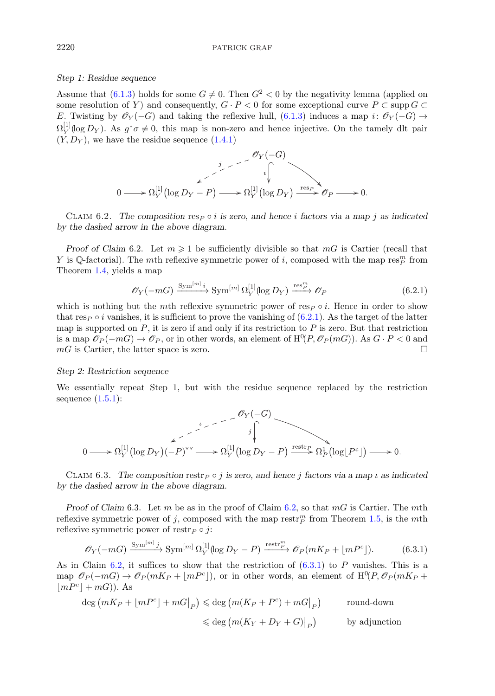## *Step 1: Residue sequence*

Assume that [\(6.1.3\)](#page-11-0) holds for some  $G \neq 0$ . Then  $G^2 < 0$  by the negativity lemma (applied on some resolution of Y) and consequently,  $G \cdot P < 0$  for some exceptional curve  $P \subset \text{supp } G \subset$ E. Twisting by  $\mathscr{O}_Y(-G)$  and taking the reflexive hull, [\(6.1.3\)](#page-11-0) induces a map i:  $\mathscr{O}_Y(-G) \rightarrow$  $\Omega_Y^{[1]}(\log D_Y)$ . As  $g^*\sigma \neq 0$ , this map is non-zero and hence injective. On the tamely dlt pair  $(Y, D_Y)$ , we have the residue sequence  $(1.4.1)$ 



CLAIM 6.2. The composition  $\text{resp} \circ i$  is zero, and hence i factors via a map j as indicated *by the dashed arrow in the above diagram.*

*Proof of Claim* 6.2. Let  $m \geq 1$  be sufficiently divisible so that  $mG$  is Cartier (recall that Y is Q-factorial). The *mth* reflexive symmetric power of *i*, composed with the map  $\text{res}_{P}^{m}$  from Theorem [1.4,](#page-2-0) yields a map

$$
\mathscr{O}_Y(-mG) \xrightarrow{\text{Sym}^{[m]} i} \text{Sym}^{[m]} \Omega_Y^{[1]}(\log D_Y) \xrightarrow{\text{res}_P^m} \mathscr{O}_P \tag{6.2.1}
$$

which is nothing but the mth reflexive symmetric power of  $\text{res}_P \circ i$ . Hence in order to show that res<sub>P</sub>  $\circ$  *i* vanishes, it is sufficient to prove the vanishing of (6.2.1). As the target of the latter map is supported on  $P$ , it is zero if and only if its restriction to  $P$  is zero. But that restriction is a map  $\mathscr{O}_P(-m) \to \mathscr{O}_P$ , or in other words, an element of  $\mathrm{H}^0(P, \mathscr{O}_P(m))$ . As  $G \cdot P < 0$  and  $mG$  is Cartier, the latter space is zero.

### *Step 2: Restriction sequence*

We essentially repeat Step 1, but with the residue sequence replaced by the restriction sequence  $(1.5.1)$ :

$$
0 \longrightarrow \Omega_Y^{[1]}(\log D_Y)(-P)^{\vee \vee} \longrightarrow \Omega_Y^{[1]}(\log D_Y - P) \xrightarrow{\text{restr}_P} \Omega_P^1(\log [P^c]) \longrightarrow 0.
$$

CLAIM 6.3. *The composition* restr<sub>P</sub>  $\circ$  *j* is zero, and hence *j* factors via a map *l* as indicated *by the dashed arrow in the above diagram.*

*Proof of Claim* 6.3. Let m be as in the proof of Claim 6.2, so that  $mG$  is Cartier. The mth reflexive symmetric power of j, composed with the map restr<sup>m</sup> from Theorem [1.5,](#page-2-0) is the mth reflexive symmetric power of restr $_P \circ j$ :

$$
\mathcal{O}_Y(-m) \xrightarrow{\text{Sym}^{[m]}j} \text{Sym}^{[m]} \Omega_Y^{[1]}(\log D_Y - P) \xrightarrow{\text{restr}_P^m} \mathcal{O}_P(mK_P + \lfloor mP^c \rfloor). \tag{6.3.1}
$$

As in Claim 6.2, it suffices to show that the restriction of  $(6.3.1)$  to P vanishes. This is a map  $\mathscr{O}_P(-mG) \to \mathscr{O}_P(mK_P + \lfloor mP^c \rfloor)$ , or in other words, an element of  $\mathrm{H}^0(P, \mathscr{O}_P(mK_P +$  $|mP^c| + mG$ ). As

$$
\deg (mK_P + \lfloor mP^c \rfloor + mG \rfloor_P) \leq \deg (m(K_P + P^c) + mG \rfloor_P) \quad \text{round-down}
$$
  

$$
\leq \deg (m(K_Y + D_Y + G) \rfloor_P) \quad \text{by adjunction}
$$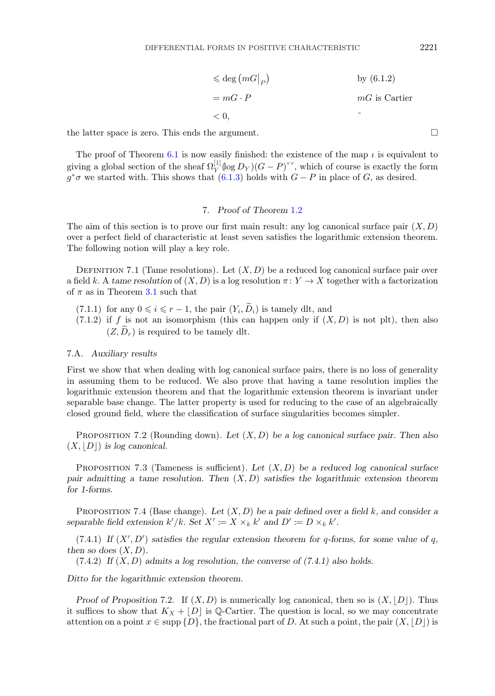$$
\leq \deg (mG|_P) \qquad \text{by (6.1.2)}
$$
  
=  $mG \cdot P$   $mG$  is Cartier  
< 0,

<span id="page-13-0"></span>the latter space is zero. This ends the argument.  $\square$ 

The proof of Theorem [6.1](#page-11-0) is now easily finished: the existence of the map  $\iota$  is equivalent to giving a global section of the sheaf  $\Omega_Y^{[1]}(\log D_Y)(G - P)^{\vee\vee}$ , which of course is exactly the form  $g^*\sigma$  we started with. This shows that  $(6.1.3)$  holds with  $G - P$  in place of G, as desired.

# 7. *Proof of Theorem* [1.2](#page-1-0)

The aim of this section is to prove our first main result: any log canonical surface pair  $(X, D)$ over a perfect field of characteristic at least seven satisfies the logarithmic extension theorem. The following notion will play a key role.

DEFINITION 7.1 (Tame resolutions). Let  $(X, D)$  be a reduced log canonical surface pair over a field k. A *tame resolution* of  $(X, D)$  is a log resolution  $\pi: Y \to X$  together with a factorization of  $\pi$  as in Theorem [3.1](#page-5-0) such that

- (7.1.1) for any  $0 \leq i \leq r 1$ , the pair  $(Y_i, \tilde{D}_i)$  is tamely dlt, and
- $(7.1.2)$  if f is not an isomorphism (this can happen only if  $(X, D)$  is not plt), then also  $(Z, \tilde{D}_r)$  is required to be tamely dlt.

## 7.A. *Auxiliary results*

First we show that when dealing with log canonical surface pairs, there is no loss of generality in assuming them to be reduced. We also prove that having a tame resolution implies the logarithmic extension theorem and that the logarithmic extension theorem is invariant under separable base change. The latter property is used for reducing to the case of an algebraically closed ground field, where the classification of surface singularities becomes simpler.

Proposition 7.2 (Rounding down). *Let* (X, D) *be a log canonical surface pair. Then also*  $(X, |D|)$  *is log canonical.* 

Proposition 7.3 (Tameness is sufficient). *Let* (X, D) *be a reduced log canonical surface pair admitting a tame resolution. Then* (X, D) *satisfies the logarithmic extension theorem for 1-forms.*

Proposition 7.4 (Base change). *Let* (X, D) *be a pair defined over a field* k*, and consider a* separable field extension  $k'/k$ . Set  $X' \coloneqq X \times_k k'$  and  $D' \coloneqq D \times_k k'$ .

 $(7.4.1)$  If  $(X', D')$  satisfies the regular extension theorem for q-forms, for some value of q, *then so does*  $(X, D)$ *.* 

(7.4.2) *If* (X, D) *admits a log resolution, the converse of (7.4.1) also holds.*

*Ditto for the logarithmic extension theorem.*

*Proof of Proposition* 7.2. If  $(X, D)$  is numerically log canonical, then so is  $(X, |D|)$ . Thus it suffices to show that  $K_X + |D|$  is Q-Cartier. The question is local, so we may concentrate attention on a point  $x \in \text{supp } \{D\}$ , the fractional part of D. At such a point, the pair  $(X, |D|)$  is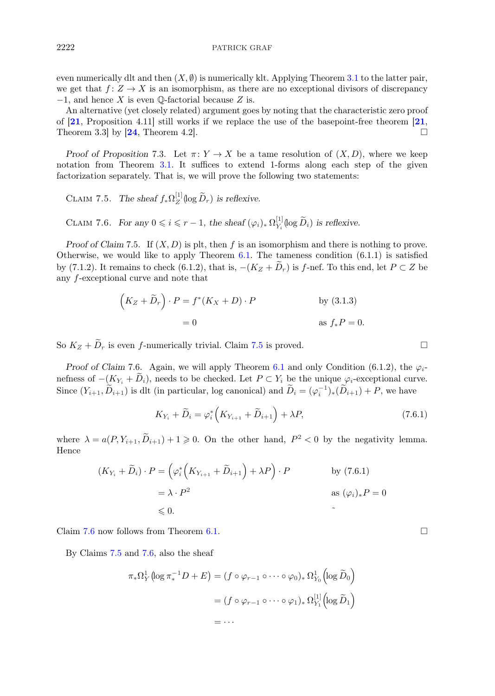even numerically dlt and then  $(X, \emptyset)$  is numerically klt. Applying Theorem [3.1](#page-5-0) to the latter pair, we get that  $f: Z \to X$  is an isomorphism, as there are no exceptional divisors of discrepancy  $-1$ , and hence X is even Q-factorial because Z is.

An alternative (yet closely related) argument goes by noting that the characteristic zero proof of  $[21,$  $[21,$  $[21,$  Proposition 4.11 still works if we replace the use of the basepoint-free theorem  $[21,$ Theorem 3.3 by  $[24,$  $[24,$  $[24,$  Theorem 4.2.

*Proof of Proposition* 7.3. Let  $\pi: Y \to X$  be a tame resolution of  $(X, D)$ , where we keep notation from Theorem [3.1.](#page-5-0) It suffices to extend 1-forms along each step of the given factorization separately. That is, we will prove the following two statements:

CLAIM 7.5. *The sheaf*  $f_*\Omega_Z^{[1]}(\log \tilde{D}_r)$  *is reflexive.* 

CLAIM 7.6. *For any*  $0 \le i \le r - 1$ , the sheaf  $(\varphi_i)_* \Omega_{Y_i}^{[1]}(\log \widetilde{D}_i)$  is reflexive.

*Proof of Claim* 7.5. If  $(X, D)$  is plt, then f is an isomorphism and there is nothing to prove. Otherwise, we would like to apply Theorem  $6.1$ . The tameness condition  $(6.1.1)$  $(6.1.1)$  $(6.1.1)$  is satisfied by (7.1.2). It remains to check (6.1.2), that is,  $-(K_Z + \tilde{D}_r)$  is f-nef. To this end, let  $P \subset Z$  be any f-exceptional curve and note that

$$
(K_Z + \widetilde{D}_r) \cdot P = f^*(K_X + D) \cdot P
$$
 by (3.1.3)  
= 0 as  $f_* P = 0$ .

So  $K_Z + \widetilde{D}_r$  is even f-numerically trivial. Claim 7.5 is proved.

*Proof of Claim* 7.6. Again, we will apply Theorem [6.1](#page-11-0) and only Condition (6.1.2), the  $\varphi_i$ nefness of  $-(K_{Y_i} + \tilde{D}_i)$ , needs to be checked. Let  $P \subset Y_i$  be the unique  $\varphi_i$ -exceptional curve. Since  $(Y_{i+1}, \widetilde{D}_{i+1})$  is dlt (in particular, log canonical) and  $\widetilde{D}_i = (\varphi_i^{-1})_*(\widetilde{D}_{i+1}) + P$ , we have

$$
K_{Y_i} + \widetilde{D}_i = \varphi_i^* \left( K_{Y_{i+1}} + \widetilde{D}_{i+1} \right) + \lambda P, \tag{7.6.1}
$$

where  $\lambda = a(P, Y_{i+1}, D_{i+1}) + 1 \geq 0$ . On the other hand,  $P^2 < 0$  by the negativity lemma. Hence

$$
(K_{Y_i} + \widetilde{D}_i) \cdot P = \left(\varphi_i^* \left(K_{Y_{i+1}} + \widetilde{D}_{i+1}\right) + \lambda P\right) \cdot P \qquad \text{by (7.6.1)}
$$
  
=  $\lambda \cdot P^2$  as  $(\varphi_i)_* P = 0$   
\$\leq 0.

Claim 7.6 now follows from Theorem [6.1.](#page-11-0)

By Claims 7.5 and 7.6, also the sheaf

$$
\pi_* \Omega^1_Y \left( \log \pi_*^{-1} D + E \right) = (f \circ \varphi_{r-1} \circ \cdots \circ \varphi_0)_* \Omega^1_{Y_0} \left( \log \widetilde{D}_0 \right)
$$

$$
= (f \circ \varphi_{r-1} \circ \cdots \circ \varphi_1)_* \Omega^{[1]}_{Y_1} \left( \log \widetilde{D}_1 \right)
$$

$$
= \cdots
$$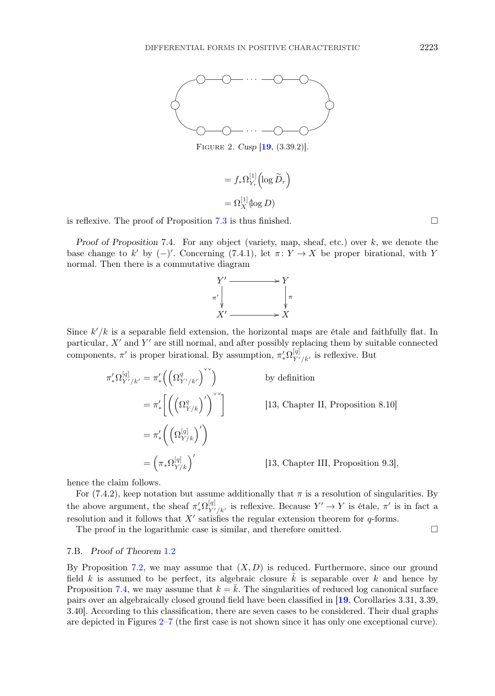<span id="page-15-0"></span>

Figure 2. *Cusp* [[19](#page-31-0), (3.39.2)]*.*

$$
= f_* \Omega_{Y_r}^{[1]} \left( \log \widetilde{D}_r \right)
$$
  
=  $\Omega_X^{[1]} \left( \log D \right)$ 

is reflexive. The proof of Proposition [7.3](#page-13-0) is thus finished.  $\square$ 

*Proof of Proposition* 7.4. For any object (variety, map, sheaf, etc.) over k, we denote the base change to k' by  $(-)'$ . Concerning (7.4.1), let  $\pi: Y \to X$  be proper birational, with Y normal. Then there is a commutative diagram



Since  $k'/k$  is a separable field extension, the horizontal maps are étale and faithfully flat. In particular,  $X'$  and  $Y'$  are still normal, and after possibly replacing them by suitable connected components,  $\pi'$  is proper birational. By assumption,  $\pi'_* \Omega_{Y'/k'}^{[q]}$  is reflexive. But

$$
\pi'_* \Omega_{Y'/k'}^{[q]} = \pi'_* \left( \left( \Omega_{Y'/k'}^q \right)^{\vee} \right)
$$
 by definition  
\n
$$
= \pi'_* \left[ \left( \left( \Omega_{Y/k}^q \right)^{\prime} \right)^{\vee} \right]
$$
 [13, Chapter II, Proposition 8.10]  
\n
$$
= \pi'_* \left( \left( \Omega_{Y/k}^{[q]} \right)^{\prime} \right)
$$
  
\n
$$
= \left( \pi_* \Omega_{Y/k}^{[q]} \right)^{\prime}
$$
 [13, Chapter III, Proposition 9.3],

hence the claim follows.

For (7.4.2), keep notation but assume additionally that  $\pi$  is a resolution of singularities. By the above argument, the sheaf  $\pi'_*\Omega^{[q]}_{Y'/k'}$  is reflexive. Because  $Y' \to Y$  is étale,  $\pi'$  is in fact a resolution and it follows that  $X'$  satisfies the regular extension theorem for  $q$ -forms.

The proof in the logarithmic case is similar, and therefore omitted.  $\Box$ 

#### 7.B. *Proof of Theorem* [1.2](#page-1-0)

By Proposition [7.2,](#page-13-0) we may assume that  $(X, D)$  is reduced. Furthermore, since our ground field k is assumed to be perfect, its algebraic closure  $\overline{k}$  is separable over k and hence by Proposition [7.4,](#page-13-0) we may assume that  $k = \overline{k}$ . The singularities of reduced log canonical surface pairs over an algebraically closed ground field have been classified in [[19](#page-31-0), Corollaries 3.31, 3.39, 3.40]. According to this classification, there are seven cases to be considered. Their dual graphs are depicted in Figures 2–7 (the first case is not shown since it has only one exceptional curve).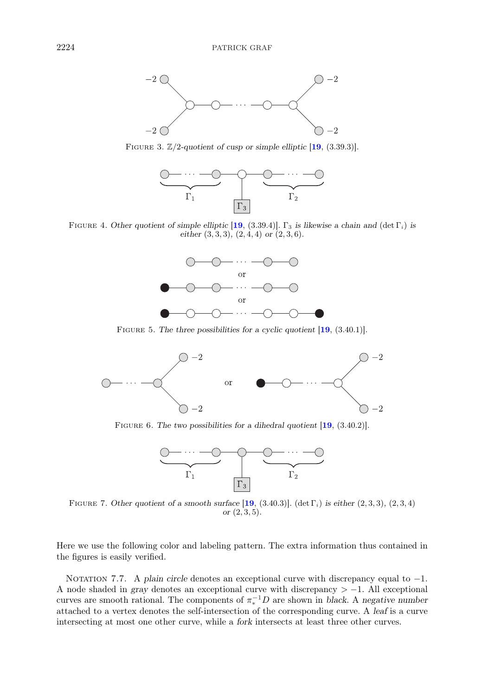<span id="page-16-0"></span>

FIGURE 3.  $\mathbb{Z}/2$ -quotient of cusp or simple elliptic  $[19, (3.39.3)]$  $[19, (3.39.3)]$  $[19, (3.39.3)]$ .



FIGURE 4. *Other quotient of simple elliptic* [[19](#page-31-0), (3.39.4)].  $\Gamma_3$  *is likewise a chain and* (det  $\Gamma_i$ ) *is either* (3, 3, 3)*,* (2, 4, 4) *or* (2, 3, 6)*.*



Figure 5. *The three possibilities for a cyclic quotient* [[19](#page-31-0), (3.40.1)]*.*



Figure 6. *The two possibilities for a dihedral quotient* [[19](#page-31-0), (3.40.2)]*.*



FIGURE 7. Other quotient of a smooth surface  $[19, (3.40.3)]$  $[19, (3.40.3)]$  $[19, (3.40.3)]$ . (det  $\Gamma_i$ ) is either  $(2, 3, 3)$ ,  $(2, 3, 4)$ *or* (2, 3, 5)*.*

Here we use the following color and labeling pattern. The extra information thus contained in the figures is easily verified.

NOTATION 7.7. A *plain circle* denotes an exceptional curve with discrepancy equal to −1. A node shaded in *gray* denotes an exceptional curve with discrepancy > −1. All exceptional curves are smooth rational. The components of  $\pi_*^{-1}D$  are shown in *black*. A *negative number* attached to a vertex denotes the self-intersection of the corresponding curve. A *leaf* is a curve intersecting at most one other curve, while a *fork* intersects at least three other curves.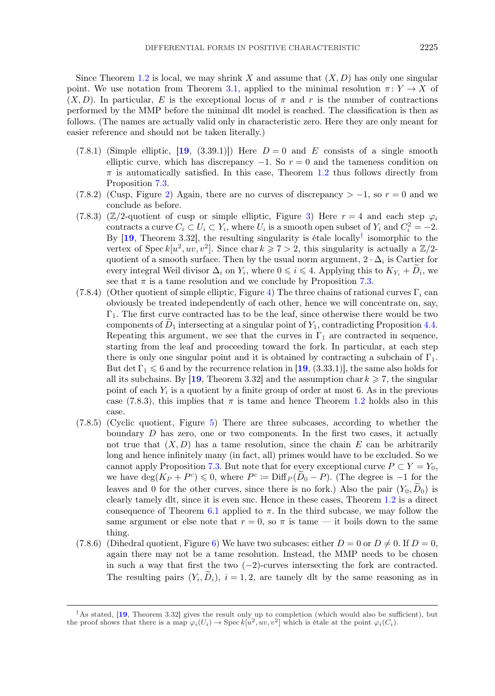Since Theorem [1.2](#page-1-0) is local, we may shrink X and assume that  $(X, D)$  has only one singular point. We use notation from Theorem [3.1,](#page-5-0) applied to the minimal resolution  $\pi: Y \to X$  of  $(X, D)$ . In particular, E is the exceptional locus of  $\pi$  and r is the number of contractions performed by the MMP before the minimal dlt model is reached. The classification is then as follows. (The names are actually valid only in characteristic zero. Here they are only meant for easier reference and should not be taken literally.)

- $(7.8.1)$  (Simple elliptic, [[19](#page-31-0), (3.39.1)]) Here  $D=0$  and E consists of a single smooth elliptic curve, which has discrepancy  $-1$ . So  $r = 0$  and the tameness condition on  $\pi$  is automatically satisfied. In this case, Theorem [1.2](#page-1-0) thus follows directly from Proposition [7.3.](#page-13-0)
- (7.8.[2\)](#page-15-0) (Cusp, Figure 2) Again, there are no curves of discrepancy  $> -1$ , so  $r = 0$  and we conclude as before.
- (7.8.[3\)](#page-16-0) ( $\mathbb{Z}/2$ -quotient of cusp or simple elliptic, Figure 3) Here  $r = 4$  and each step  $\varphi_i$ contracts a curve  $C_i \subset U_i \subset Y_i$ , where  $U_i$  is a smooth open subset of  $Y_i$  and  $C_i^2 = -2$ . By [[19](#page-31-0), Theorem 3.32], the resulting singularity is étale locally<sup>†</sup> isomorphic to the vertex of Spec  $k[u^2, uv, v^2]$ . Since char  $k \ge 7 > 2$ , this singularity is actually a  $\mathbb{Z}/2$ quotient of a smooth surface. Then by the usual norm argument,  $2 \cdot \Delta_i$  is Cartier for every integral Weil divisor  $\Delta_i$  on  $Y_i$ , where  $0 \leq i \leq 4$ . Applying this to  $K_{Y_i} + D_i$ , we see that  $\pi$  is a tame resolution and we conclude by Proposition [7.3.](#page-13-0)
- (7.8.[4\)](#page-16-0) (Other quotient of simple elliptic, Figure 4) The three chains of rational curves  $\Gamma_i$  can obviously be treated independently of each other, hence we will concentrate on, say,  $\Gamma_1$ . The first curve contracted has to be the leaf, since otherwise there would be two components of  $D_1$  intersecting at a singular point of  $Y_1$ , contradicting Proposition [4.4.](#page-7-0) Repeating this argument, we see that the curves in  $\Gamma_1$  are contracted in sequence, starting from the leaf and proceeding toward the fork. In particular, at each step there is only one singular point and it is obtained by contracting a subchain of  $\Gamma_1$ . But det  $\Gamma_1 \leq 6$  and by the recurrence relation in [[19](#page-31-0), (3.33.1)], the same also holds for all its subchains. By  $[19]$  $[19]$  $[19]$ , Theorem 3.32 and the assumption char  $k \geq 7$ , the singular point of each  $Y_i$  is a quotient by a finite group of order at most 6. As in the previous case (7.8.3), this implies that  $\pi$  is tame and hence Theorem [1.2](#page-1-0) holds also in this case.
- (7.8.5) (Cyclic quotient, Figure [5\)](#page-16-0) There are three subcases, according to whether the boundary  $D$  has zero, one or two components. In the first two cases, it actually not true that  $(X, D)$  has a tame resolution, since the chain E can be arbitrarily long and hence infinitely many (in fact, all) primes would have to be excluded. So we cannot apply Proposition [7.3.](#page-13-0) But note that for every exceptional curve  $P \subset Y = Y_0$ , we have  $\deg(K_P + P^c) \leq 0$ , where  $P^c \coloneqq \text{Diff}_P(\widetilde{D}_0 - P)$ . (The degree is -1 for the leaves and 0 for the other curves, since there is no fork.) Also the pair  $(Y_0, D_0)$  is clearly tamely dlt, since it is even snc. Hence in these cases, Theorem [1.2](#page-1-0) is a direct consequence of Theorem [6.1](#page-11-0) applied to  $\pi$ . In the third subcase, we may follow the same argument or else note that  $r = 0$ , so  $\pi$  is tame — it boils down to the same thing.
- (7.8.[6\)](#page-16-0) (Dihedral quotient, Figure 6) We have two subcases: either  $D = 0$  or  $D \neq 0$ . If  $D = 0$ , again there may not be a tame resolution. Instead, the MMP needs to be chosen in such a way that first the two  $(-2)$ -curves intersecting the fork are contracted. The resulting pairs  $(Y_i, \tilde{D}_i)$ ,  $i = 1, 2$ , are tamely dlt by the same reasoning as in

<sup>†</sup>As stated, [[19](#page-31-0), Theorem 3.32] gives the result only up to completion (which would also be sufficient), but the proof shows that there is a map  $\varphi_i(U_i) \to \text{Spec } k[u^2, uv, v^2]$  which is étale at the point  $\varphi_i(C_i)$ .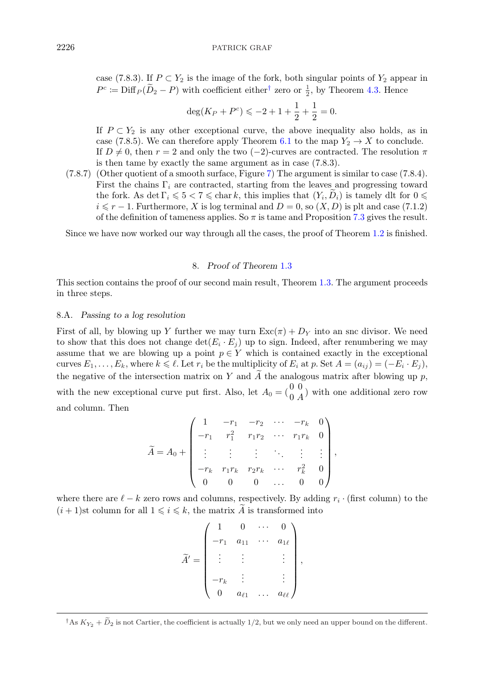<span id="page-18-0"></span>case (7.8.3). If  $P \subset Y_2$  is the image of the fork, both singular points of  $Y_2$  appear in  $P^c := \text{Diff}_P(\overline{D}_2 - P)$  with coefficient either<sup>†</sup> zero or  $\frac{1}{2}$ , by Theorem [4.3.](#page-7-0) Hence

$$
\deg(K_P + P^c) \leqslant -2 + 1 + \frac{1}{2} + \frac{1}{2} = 0.
$$

If  $P \subset Y_2$  is any other exceptional curve, the above inequality also holds, as in case (7.8.5). We can therefore apply Theorem [6.1](#page-11-0) to the map  $Y_2 \to X$  to conclude. If  $D \neq 0$ , then  $r = 2$  and only the two (-2)-curves are contracted. The resolution  $\pi$ is then tame by exactly the same argument as in case (7.8.3).

(7.8.7) (Other quotient of a smooth surface, Figure [7\)](#page-16-0) The argument is similar to case (7.8.4). First the chains  $\Gamma_i$  are contracted, starting from the leaves and progressing toward the fork. As det  $\Gamma_i \leqslant 5 < 7 \leqslant \text{char } k$ , this implies that  $(Y_i, D_i)$  is tamely dlt for  $0 \leqslant$  $i \leq r - 1$ . Furthermore, X is log terminal and  $D = 0$ , so  $(X, D)$  is plt and case (7.1.2) of the definition of tameness applies. So  $\pi$  is tame and Proposition [7.3](#page-13-0) gives the result.

Since we have now worked our way through all the cases, the proof of Theorem [1.2](#page-1-0) is finished.

# 8. *Proof of Theorem* [1.3](#page-2-0)

This section contains the proof of our second main result, Theorem [1.3.](#page-2-0) The argument proceeds in three steps.

## 8.A. *Passing to a log resolution*

First of all, by blowing up Y further we may turn  $\text{Exc}(\pi)+D_Y$  into an snc divisor. We need to show that this does not change  $\det(E_i \cdot E_j)$  up to sign. Indeed, after renumbering we may assume that we are blowing up a point  $p \in Y$  which is contained exactly in the exceptional curves  $E_1,\ldots,E_k$ , where  $k \leq \ell$ . Let  $r_i$  be the multiplicity of  $E_i$  at  $p$ . Set  $A = (a_{ij}) = (-E_i \cdot E_j)$ , the negative of the intersection matrix on Y and  $\tilde{A}$  the analogous matrix after blowing up p, with the new exceptional curve put first. Also, let  $A_0 = \begin{pmatrix} 0 & 0 \\ 0 & A \end{pmatrix}$  with one additional zero row and column. Then

$$
\widetilde{A} = A_0 + \begin{pmatrix}\n1 & -r_1 & -r_2 & \cdots & -r_k & 0 \\
-r_1 & r_1^2 & r_1r_2 & \cdots & r_1r_k & 0 \\
\vdots & \vdots & \vdots & \ddots & \vdots & \vdots \\
-r_k & r_1r_k & r_2r_k & \cdots & r_k^2 & 0 \\
0 & 0 & 0 & \cdots & 0 & 0\n\end{pmatrix},
$$

where there are  $\ell - k$  zero rows and columns, respectively. By adding  $r_i \cdot$  (first column) to the  $(i + 1)$ st column for all  $1 \leq i \leq k$ , the matrix  $\tilde{A}$  is transformed into

$$
\widetilde{A}' = \begin{pmatrix}\n1 & 0 & \cdots & 0 \\
-r_1 & a_{11} & \cdots & a_{1\ell} \\
\vdots & \vdots & & \vdots \\
-r_k & \vdots & & \vdots \\
0 & a_{\ell 1} & \cdots & a_{\ell \ell}\n\end{pmatrix},
$$

 $\begin{pmatrix} -r_k & & & \ & 0 & a_{\ell 1} & \dots & a_{\ell \ell} \end{pmatrix}$ <br>  $\dagger$  As  $K_{Y_2} + \widetilde{D}_2$  is not Cartier, the coefficient is actually 1/2, but we only need an upper bound on the different.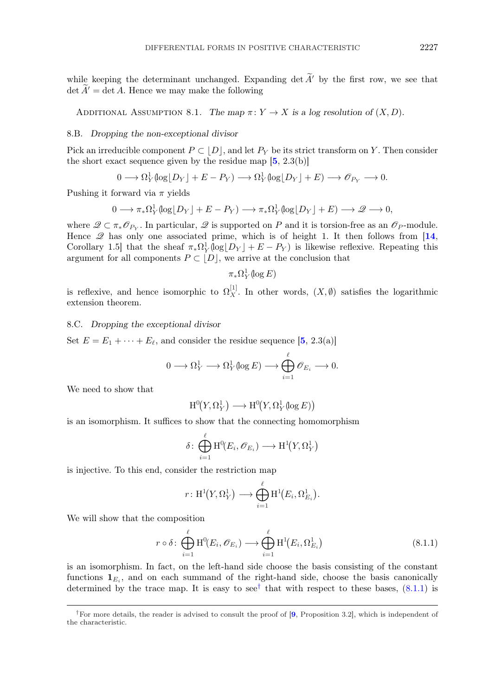while keeping the determinant unchanged. Expanding det  $\widetilde{A}'$  by the first row, we see that  $\det \tilde{A}' = \det A$ . Hence we may make the following

ADDITIONAL ASSUMPTION 8.1. The map  $\pi: Y \to X$  is a log resolution of  $(X, D)$ .

#### 8.B. *Dropping the non-exceptional divisor*

Pick an irreducible component  $P \subset |D|$ , and let  $P_Y$  be its strict transform on Y. Then consider the short exact sequence given by the residue map  $[5, 2.3(b)]$  $[5, 2.3(b)]$  $[5, 2.3(b)]$ 

$$
0 \longrightarrow \Omega_Y^1(\log \lfloor D_Y \rfloor + E - P_Y) \longrightarrow \Omega_Y^1(\log \lfloor D_Y \rfloor + E) \longrightarrow \mathcal{O}_{P_Y} \longrightarrow 0.
$$

Pushing it forward via  $\pi$  yields

$$
0 \longrightarrow \pi_*\Omega^1_Y(\log \lfloor D_Y \rfloor + E - P_Y) \longrightarrow \pi_*\Omega^1_Y(\log \lfloor D_Y \rfloor + E) \longrightarrow \mathcal{Q} \longrightarrow 0,
$$

where  $\mathscr{Q} \subset \pi_* \mathscr{O}_{P_Y}$ . In particular,  $\mathscr{Q}$  is supported on P and it is torsion-free as an  $\mathscr{O}_P$ -module. Hence  $\mathscr Q$  has only one associated prime, which is of height 1. It then follows from [[14](#page-31-0), Corollary 1.5] that the sheaf  $\pi_* \Omega_Y^1(\log|D_Y| + E - P_Y)$  is likewise reflexive. Repeating this argument for all components  $P \subset |D|$ , we arrive at the conclusion that

 $\pi_* \Omega_Y^1(\log E)$ 

is reflexive, and hence isomorphic to  $\Omega_X^{[1]}$ . In other words,  $(X, \emptyset)$  satisfies the logarithmic extension theorem.

## 8.C. *Dropping the exceptional divisor*

Set  $E = E_1 + \cdots + E_{\ell}$ , and consider the residue sequence [[5](#page-30-0), 2.3(a)]

$$
0 \longrightarrow \Omega^1_Y \longrightarrow \Omega^1_Y(\log E) \longrightarrow \bigoplus_{i=1}^{\ell} \mathscr{O}_{E_i} \longrightarrow 0.
$$

We need to show that

$$
\mathrm{H}^0\hskip-2pt \left(Y,\Omega_Y^1\right) \longrightarrow \mathrm{H}^0\hskip-2pt \left(Y,\Omega_Y^1(\log E)\right)
$$

is an isomorphism. It suffices to show that the connecting homomorphism

$$
\delta \colon \bigoplus_{i=1}^{\ell} \mathrm{H}^{0}(E_{i}, \mathscr{O}_{E_{i}}) \longrightarrow \mathrm{H}^{1}(Y, \Omega_{Y}^{1})
$$

is injective. To this end, consider the restriction map

$$
r\colon \mathrm{H}^1\hskip-2pt \left(Y,\Omega_Y^1\right) \longrightarrow \bigoplus_{i=1}^\ell \mathrm{H}^1\hskip-2pt \left(E_i,\Omega_{E_i}^1\right).
$$

We will show that the composition

$$
r \circ \delta \colon \bigoplus_{i=1}^{\ell} \mathrm{H}^{0}(E_{i}, \mathscr{O}_{E_{i}}) \longrightarrow \bigoplus_{i=1}^{\ell} \mathrm{H}^{1}(E_{i}, \Omega_{E_{i}}^{1})
$$
\n(8.1.1)

is an isomorphism. In fact, on the left-hand side choose the basis consisting of the constant functions  $\mathbf{1}_{E_i}$ , and on each summand of the right-hand side, choose the basis canonically determined by the trace map. It is easy to see<sup>†</sup> that with respect to these bases,  $(8.1.1)$  is

<sup>&</sup>lt;sup>†</sup>For more details, the reader is advised to consult the proof of  $[9,$  $[9,$  $[9,$  Proposition 3.2], which is independent of the characteristic.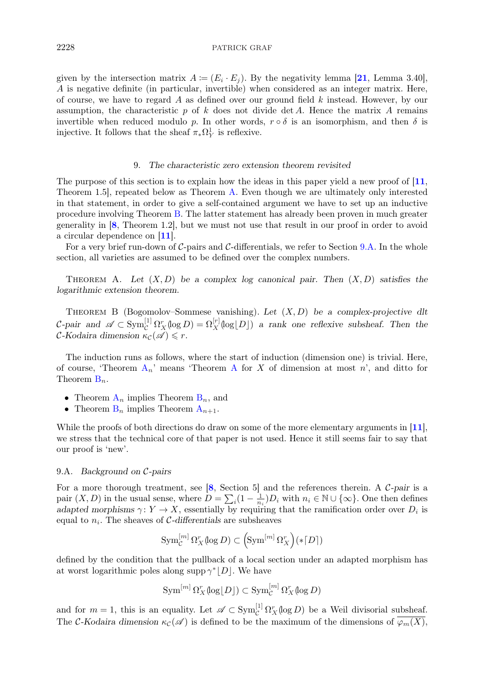<span id="page-20-0"></span>given by the intersection matrix  $A := (E_i \cdot E_j)$ . By the negativity lemma [[21](#page-31-0), Lemma 3.40], A is negative definite (in particular, invertible) when considered as an integer matrix. Here, of course, we have to regard  $A$  as defined over our ground field  $k$  instead. However, by our assumption, the characteristic p of k does not divide det A. Hence the matrix A remains invertible when reduced modulo p. In other words,  $r \circ \delta$  is an isomorphism, and then  $\delta$  is injective. It follows that the sheaf  $\pi_* \Omega^1_Y$  is reflexive.

## 9. *The characteristic zero extension theorem revisited*

The purpose of this section is to explain how the ideas in this paper yield a new proof of  $\vert 11$  $\vert 11$ , Theorem 1.5], repeated below as Theorem A. Even though we are ultimately only interested in that statement, in order to give a self-contained argument we have to set up an inductive procedure involving Theorem B. The latter statement has already been proven in much greater generality in [[8](#page-30-0), Theorem 1.2], but we must not use that result in our proof in order to avoid a circular dependence on [[11](#page-31-0)].

For a very brief run-down of  $C$ -pairs and  $C$ -differentials, we refer to Section 9.A. In the whole section, all varieties are assumed to be defined over the complex numbers.

THEOREM A. Let  $(X, D)$  be a complex log canonical pair. Then  $(X, D)$  satisfies the *logarithmic extension theorem.*

Theorem B (Bogomolov–Sommese vanishing). *Let* (X, D) *be a complex-projective dlt*  $\mathcal{C}\text{-pair}$  and  $\mathscr{A} \subset \text{Sym}_{\mathcal{C}}^{[1]} \Omega_X^r(\log D) = \Omega_X^{[r]}(\log D)$  *a rank one reflexive subsheaf. Then the*  $\mathcal{C}\text{-}Kodaira dimension \kappa_{\mathcal{C}}(\mathscr{A}) \leq r.$ 

The induction runs as follows, where the start of induction (dimension one) is trivial. Here, of course, 'Theorem  $A_n$ ' means 'Theorem A for X of dimension at most n', and ditto for Theorem  $B_n$ .

- Theorem  $A_n$  implies Theorem  $B_n$ , and
- Theorem  $B_n$  implies Theorem  $A_{n+1}$ .

While the proofs of both directions do draw on some of the more elementary arguments in [[11](#page-31-0)], we stress that the technical core of that paper is not used. Hence it still seems fair to say that our proof is 'new'.

## 9.A. *Background on* C*-pairs*

For a more thorough treatment, see [[8](#page-30-0), Section 5] and the references therein. A C*-pair* is a pair  $(X, D)$  in the usual sense, where  $D = \sum_i (1 - \frac{1}{n_i}) D_i$  with  $n_i \in \mathbb{N} \cup \{\infty\}$ . One then defines *adapted morphisms*  $\gamma: Y \to X$ , essentially by requiring that the ramification order over  $D_i$  is equal to  $n_i$ . The sheaves of C-differentials are subsheaves

$$
\operatorname{Sym}_{\mathcal{C}}^{[m]} \Omega_X^r(\log D) \subset \left(\operatorname{Sym}^{[m]} \Omega_X^r\right) (*[D])
$$

defined by the condition that the pullback of a local section under an adapted morphism has at worst logarithmic poles along supp  $\gamma^*|D|$ . We have

$$
\operatorname{Sym}^{[m]} \Omega_X^r(\log \lfloor D \rfloor) \subset \operatorname{Sym}_\mathcal{C}^{[m]} \Omega_X^r(\log D)
$$

and for  $m = 1$ , this is an equality. Let  $\mathscr{A} \subset \text{Sym}_{\mathcal{C}}^{[1]} \Omega_X^r(\log D)$  be a Weil divisorial subsheaf. The C-Kodaira dimension  $\kappa_{\mathcal{C}}(\mathscr{A})$  is defined to be the maximum of the dimensions of  $\overline{\varphi_m(X)}$ ,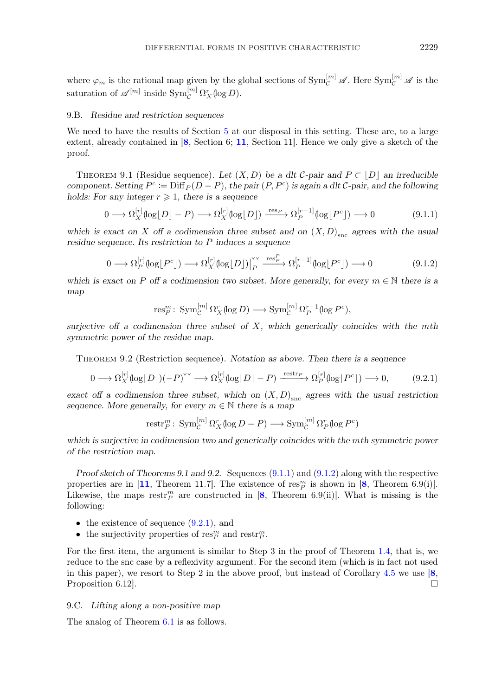<span id="page-21-0"></span>where  $\varphi_m$  is the rational map given by the global sections of  $\text{Sym}_{\mathcal{C}}^{[m]}$   $\mathscr{A}$ . Here  $\text{Sym}_{\mathcal{C}}^{[m]}$   $\mathscr{A}$  is the saturation of  $\mathscr{A}^{[m]}$  inside  $\text{Sym}_{\mathcal{C}}^{[m]} \Omega_X^r(\log D)$ .

# 9.B. *Residue and restriction sequences*

We need to have the results of Section [5](#page-8-0) at our disposal in this setting. These are, to a large extent, already contained in  $[8, \text{Section 6}; 11, \text{Section 11}]$  $[8, \text{Section 6}; 11, \text{Section 11}]$  $[8, \text{Section 6}; 11, \text{Section 11}]$  $[8, \text{Section 6}; 11, \text{Section 11}]$  $[8, \text{Section 6}; 11, \text{Section 11}]$ . Hence we only give a sketch of the proof.

THEOREM 9.1 (Residue sequence). Let  $(X, D)$  be a dlt C-pair and  $P \subset |D|$  an irreducible *component. Setting*  $P^c := \text{Diff}_P(D - P)$ *, the pair*  $(P, P^c)$  *is again a dlt* C-pair, and the following *holds:* For any integer  $r \geqslant 1$ , there is a sequence

$$
0 \longrightarrow \Omega_X^{[r]}(\log|D| - P) \longrightarrow \Omega_X^{[r]}(\log|D|) \xrightarrow{\text{res}_P} \Omega_P^{[r-1]}(\log|P^c|) \longrightarrow 0 \tag{9.1.1}
$$

which is exact on X off a codimension three subset and on  $(X, D)_{\text{src}}$  agrees with the usual *residue sequence. Its restriction to* P *induces a sequence*

$$
0 \longrightarrow \Omega_P^{[r]}(\log \lfloor P^c \rfloor) \longrightarrow \Omega_X^{[r]}(\log \lfloor D \rfloor) \Big|_P^{\vee} \xrightarrow{\text{res}_P^P} \Omega_P^{[r-1]}(\log \lfloor P^c \rfloor) \longrightarrow 0 \tag{9.1.2}
$$

*which is exact on* P *off a codimension two subset. More generally, for every*  $m \in \mathbb{N}$  *there is a map*

$$
\operatorname{res}_P^m\colon \operatorname{Sym}_{\mathcal{C}}^{[m]} \Omega_X^r(\log D) \longrightarrow \operatorname{Sym}_{\mathcal{C}}^{[m]} \Omega_P^{r-1}(\log P^c),
$$

*surjective off a codimension three subset of* X*, which generically coincides with the* m*th symmetric power of the residue map.*

Theorem 9.2 (Restriction sequence). *Notation as above. Then there is a sequence*

$$
0 \longrightarrow \Omega_X^{[r]}(\log|D|)(-P)^{\vee\vee} \longrightarrow \Omega_X^{[r]}(\log|D| - P) \xrightarrow{\text{restr}_{P}} \Omega_P^{[r]}(\log|P^c|) \longrightarrow 0,
$$
 (9.2.1)

*exact off a codimension three subset, which on*  $(X, D)_{\text{src}}$  *agrees with the usual restriction sequence. More generally, for every*  $m \in \mathbb{N}$  *there is a map* 

$$
\text{restr}_P^m\colon \operatorname{Sym}_{\mathcal{C}}^{[m]} \Omega_X^r(\log D - P) \longrightarrow \operatorname{Sym}_{\mathcal{C}}^{[m]} \Omega_P^r(\log P^c)
$$

which is surjective in codimension two and generically coincides with the mth symmetric power *of the restriction map.*

*Proof sketch of Theorems 9.1 and 9.2.* Sequences (9.1.1) and (9.1.2) along with the respective properties are in [[11](#page-31-0), Theorem 11.7]. The existence of  $\operatorname{res}_{P}^{m}$  is shown in [[8](#page-30-0), Theorem 6.9(i)]. Likewise, the maps  $\text{restr}_P^m$  are constructed in [[8](#page-30-0), Theorem 6.9(ii)]. What is missing is the following:

- the existence of sequence  $(9.2.1)$ , and
- the surjectivity properties of  $\mathrm{res}_{P}^{m}$  and  $\mathrm{restr}_{P}^{m}$ .

For the first item, the argument is similar to Step 3 in the proof of Theorem [1.4,](#page-2-0) that is, we reduce to the snc case by a reflexivity argument. For the second item (which is in fact not used in this paper), we resort to Step 2 in the above proof, but instead of Corollary [4.5](#page-7-0) we use [[8](#page-30-0), Proposition 6.12.

## 9.C. *Lifting along a non-positive map*

The analog of Theorem [6.1](#page-11-0) is as follows.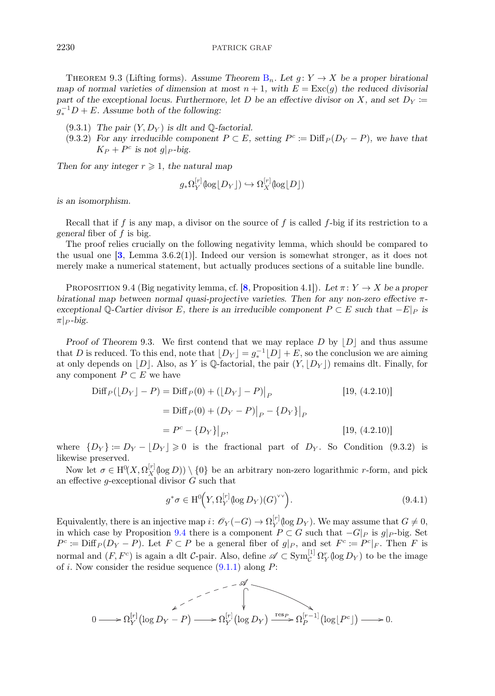<span id="page-22-0"></span>THEOREM 9.3 (Lifting forms). Assume Theorem  $B_n$  $B_n$ . Let  $g: Y \to X$  be a proper birational *map of normal varieties of dimension at most*  $n + 1$ *, with*  $E = \text{Exc}(q)$  *the reduced divisorial part of the exceptional locus. Furthermore, let* D *be an effective divisor on* X, and set  $D_Y \coloneqq$  $g_*^{-1}D + E$ . Assume both of the following:

- $(9.3.1)$  *The pair*  $(Y, D_Y)$  *is dlt and*  $\mathbb{Q}$ -factorial.
- (9.3.2) For any irreducible component  $P \subset E$ , setting  $P^c \coloneqq \text{Diff}_P(D_Y P)$ , we have that  $K_P + P^c$  *is not q|p-big.*

Then for any integer  $r \geqslant 1$ , the natural map

$$
g_*\Omega_Y^{[r]}(\log \lfloor D_Y \rfloor) \hookrightarrow \Omega_X^{[r]}(\log \lfloor D \rfloor)
$$

*is an isomorphism.*

Recall that if f is any map, a divisor on the source of f is called f-big if its restriction to a *general* fiber of f is big.

The proof relies crucially on the following negativity lemma, which should be compared to the usual one  $[3, \text{ Lemma } 3.6.2(1)]$  $[3, \text{ Lemma } 3.6.2(1)]$  $[3, \text{ Lemma } 3.6.2(1)]$ . Indeed our version is somewhat stronger, as it does not merely make a numerical statement, but actually produces sections of a suitable line bundle.

PROPOSITION 9.4 (Big negativity lemma, cf.  $[8,$  $[8,$  $[8,$  Proposition 4.1]). Let  $\pi: Y \to X$  be a proper *birational map between normal quasi-projective varieties. Then for any non-zero effective* π*exceptional* Q-Cartier divisor E, there is an irreducible component  $P \subset E$  *such that*  $-E|_P$  *is*  $\pi$   $\sim$  *-big.* 

*Proof of Theorem* 9.3. We first contend that we may replace  $D$  by  $|D|$  and thus assume that D is reduced. To this end, note that  $\lfloor D_Y \rfloor = g_*^{-1} \lfloor D \rfloor + E$ , so the conclusion we are aiming at only depends on |D|. Also, as Y is Q-factorial, the pair  $(Y, |D_Y|)$  remains dlt. Finally, for any component  $P \subset E$  we have

$$
\text{Diff}_P([D_Y] - P) = \text{Diff}_P(0) + ([D_Y] - P)|_P
$$
\n
$$
= \text{Diff}_P(0) + (D_Y - P)|_P - {D_Y}|_P
$$
\n
$$
= P^c - {D_Y}|_P,
$$
\n[19, (4.2.10)]\n[19, (4.2.10)]

where  $\{D_Y\} \coloneqq D_Y - \lfloor D_Y \rfloor \geq 0$  is the fractional part of  $D_Y$ . So Condition (9.3.2) is likewise preserved.

Now let  $\sigma \in H^0(X, \Omega_X^{[r]}(\log D)) \setminus \{0\}$  be an arbitrary non-zero logarithmic r-form, and pick an effective g-exceptional divisor  $G$  such that

$$
g^*\sigma \in \mathrm{H}^0\!\left(Y,\Omega_Y^{[r]}(\log D_Y)(G)^{\vee\vee}\right). \tag{9.4.1}
$$

Equivalently, there is an injective map  $i: \mathscr{O}_Y(-G) \to \Omega_Y^{[r]}(\log D_Y)$ . We may assume that  $G \neq 0$ , in which case by Proposition 9.4 there is a component  $P \subset G$  such that  $-G|_{P}$  is  $g|_{P}$ -big. Set  $P^c \coloneqq \text{Diff}_P (D_Y - P)$ . Let  $F \subset P$  be a general fiber of  $g|_P$ , and set  $F^c \coloneqq P^c|_F$ . Then F is normal and  $(F, F^c)$  is again a dlt *C*-pair. Also, define  $\mathscr{A} \subset \text{Sym}_{\mathcal{C}}^{[1]} \Omega_Y^r(\log D_Y)$  to be the image of i. Now consider the residue sequence  $(9.1.1)$  along P:

$$
0 \longrightarrow \Omega_Y^{[r]}(\log D_Y - P) \longrightarrow \Omega_Y^{[r]}(\log D_Y) \xrightarrow{\text{res}_P} \Omega_P^{[r-1]}(\log \lfloor P^c \rfloor) \longrightarrow 0.
$$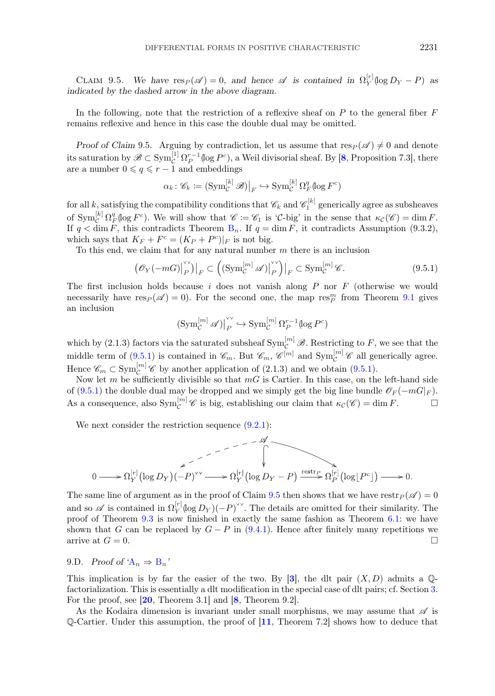CLAIM 9.5. *We have*  $res_P(\mathscr{A}) = 0$ , and hence  $\mathscr{A}$  is contained in  $\Omega_Y^{[r]}(\log D_Y - P)$  as *indicated by the dashed arrow in the above diagram.*

In the following, note that the restriction of a reflexive sheaf on  $P$  to the general fiber  $F$ remains reflexive and hence in this case the double dual may be omitted.

*Proof of Claim* 9.5. Arguing by contradiction, let us assume that  $res_P(\mathscr{A}) \neq 0$  and denote its saturation by  $\mathscr{B} \subset \text{Sym}_{\mathcal{C}}^{[1]} \Omega_P^{r-1}(\log P^c)$ , a Weil divisorial sheaf. By [[8](#page-30-0), Proposition 7.3], there are a number  $0 \leqslant q \leqslant r - 1$  and embeddings

$$
\alpha_k \colon \mathscr{C}_k := \left(\text{Sym}^{[k]}_{\mathcal{C}} \mathscr{B}\right)\big|_F \hookrightarrow \text{Sym}^{[k]}_{\mathcal{C}} \Omega^q_F(\log F^c)
$$

for all k, satisfying the compatibility conditions that  $\mathscr{C}_k$  and  $\mathscr{C}_1^{[k]}$  generically agree as subsheaves of  $\text{Sym}_{\mathcal{C}}^{[k]} \Omega_F^q(\log F^c)$ . We will show that  $\mathscr{C} := \mathscr{C}_1$  is 'C-big' in the sense that  $\kappa_{\mathcal{C}}(\mathscr{C}) = \dim F$ . If  $q < \dim F$ , this contradicts Theorem [B](#page-20-0)<sub>n</sub>. If  $q = \dim F$ , it contradicts Assumption (9.3.2), which says that  $K_F + F^c = (K_P + P^c)|_F$  is not big.

To this end, we claim that for any natural number  $m$  there is an inclusion

$$
\left(\mathcal{O}_Y(-mG)\big|_P^{\vee\vee}\right)|_F \subset \left(\left(\operatorname{Sym}_{\mathcal{C}}^{[m]} \mathscr{A}\right)\big|_P^{\vee\vee}\right)|_F \subset \operatorname{Sym}_{\mathcal{C}}^{[m]} \mathscr{C}.\tag{9.5.1}
$$

The first inclusion holds because  $i$  does not vanish along  $P$  nor  $F$  (otherwise we would necessarily have  $res_P(\mathscr{A}) = 0$ ). For the second one, the map  $res_P^m$  from Theorem [9.1](#page-21-0) gives an inclusion

$$
(\operatorname{Sym}_{\mathcal{C}}^{[m]} \mathscr{A})\big|_{P}^{\vee \vee} \hookrightarrow \operatorname{Sym}_{\mathcal{C}}^{[m]} \Omega_{P}^{r-1}(\log P^{c})
$$

which by (2.1.3) factors via the saturated subsheaf  $\text{Sym}_{\mathcal{C}}^{[m]}$   $\mathscr{B}$ . Restricting to F, we see that the middle term of  $(9.5.1)$  is contained in  $\mathscr{C}_m$ . But  $\mathscr{C}_m$ ,  $\mathscr{C}^{[m]}$  and  $\text{Sym}_{\mathcal{C}}^{[m]}$   $\mathscr{C}$  all generically agree. Hence  $\mathscr{C}_m \subset \text{Sym}_{\mathcal{C}}^{[m]}$   $\mathscr{C}$  by another application of (2.1.3) and we obtain (9.5.1).

Now let m be sufficiently divisible so that  $mG$  is Cartier. In this case, on the left-hand side of (9.5.1) the double dual may be dropped and we simply get the big line bundle  $\mathscr{O}_F(-mG|_F)$ . As a consequence, also  $\text{Sym}_{\mathcal{C}}^{[m]}$  *C* is big, establishing our claim that  $\kappa_{\mathcal{C}}(\mathscr{C}) = \dim F$ .

We next consider the restriction sequence  $(9.2.1)$ :

$$
0 \longrightarrow \Omega_{Y}^{[r]}(\log D_{Y})(-P)^{\vee\vee} \longrightarrow \Omega_{Y}^{[r]}(\log D_{Y}-P) \xrightarrow{\text{restr}_{P}} \Omega_{P}^{[r]}(\log [P^{c}]) \longrightarrow 0
$$

The same line of argument as in the proof of Claim 9.5 then shows that we have  $\text{restr}_{P} (\mathscr{A}) = 0$ and so  $\mathscr A$  is contained in  $\Omega_Y^{[r]}(\log D_Y)(-P)^{\vee\vee}$ . The details are omitted for their similarity. The proof of Theorem [9.3](#page-22-0) is now finished in exactly the same fashion as Theorem [6.1:](#page-11-0) we have shown that G can be replaced by  $G - P$  in [\(9.4.1\)](#page-22-0). Hence after finitely many repetitions we arrive at  $G = 0$ .

# 9.D. *Proof of '* $A_n \Rightarrow B_n$  $A_n \Rightarrow B_n$  $A_n \Rightarrow B_n$  $A_n \Rightarrow B_n$ '

This implication is by far the easier of the two. By [[3](#page-30-0)], the dlt pair  $(X, D)$  admits a  $\mathbb{Q}$ factorialization. This is essentially a dlt modification in the special case of dlt pairs; cf. Section [3.](#page-5-0) For the proof, see [[20](#page-31-0), Theorem 3.1] and [[8](#page-30-0), Theorem 9.2].

As the Kodaira dimension is invariant under small morphisms, we may assume that  $\mathscr A$  is  $\mathbb{Q}$ -Cartier. Under this assumption, the proof of  $[11,$  $[11,$  $[11,$  Theorem 7.2 shows how to deduce that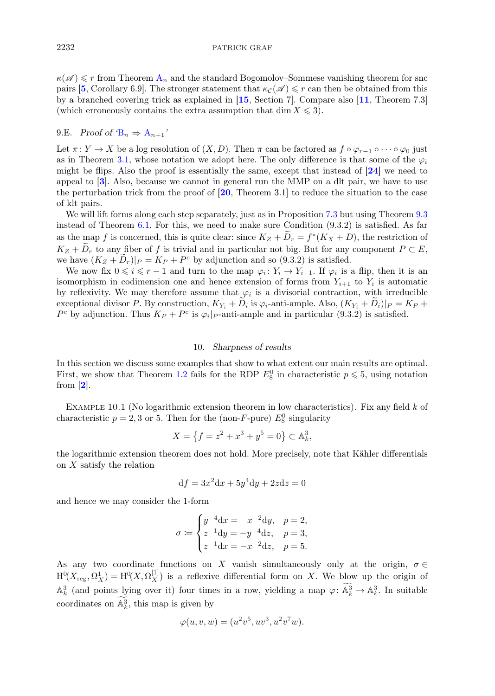<span id="page-24-0"></span> $\kappa(\mathscr{A}) \leq r$  $\kappa(\mathscr{A}) \leq r$  $\kappa(\mathscr{A}) \leq r$  from Theorem  $A_n$  and the standard Bogomolov–Sommese vanishing theorem for snc pairs [[5](#page-30-0), Corollary 6.9]. The stronger statement that  $\kappa_c(\mathscr{A}) \leq r$  can then be obtained from this by a branched covering trick as explained in [[15](#page-31-0), Section 7]. Compare also [[11](#page-31-0), Theorem 7.3] (which erroneously contains the extra assumption that dim  $X \leq 3$ ).

# 9.E. *Proof of*  $B_n \Rightarrow A_{n+1}$  $B_n \Rightarrow A_{n+1}$  $B_n \Rightarrow A_{n+1}$  $B_n \Rightarrow A_{n+1}$ <sup>'</sup>

Let  $\pi: Y \to X$  be a log resolution of  $(X, D)$ . Then  $\pi$  can be factored as  $f \circ \varphi_{r-1} \circ \cdots \circ \varphi_0$  just as in Theorem [3.1,](#page-5-0) whose notation we adopt here. The only difference is that some of the  $\varphi_i$ might be flips. Also the proof is essentially the same, except that instead of [[24](#page-31-0)] we need to appeal to [[3](#page-30-0)]. Also, because we cannot in general run the MMP on a dlt pair, we have to use the perturbation trick from the proof of [[20](#page-31-0), Theorem 3.1] to reduce the situation to the case of klt pairs.

We will lift forms along each step separately, just as in Proposition [7.3](#page-13-0) but using Theorem [9.3](#page-22-0) instead of Theorem  $6.1$ . For this, we need to make sure Condition  $(9.3.2)$  is satisfied. As far as the map f is concerned, this is quite clear: since  $K_Z + D_r = f^*(K_X + D)$ , the restriction of  $K_Z + \tilde{D}_r$  to any fiber of f is trivial and in particular not big. But for any component  $P \subset E$ , we have  $(K_Z + D_r)|_P = K_P + P^c$  by adjunction and so (9.3.2) is satisfied.

We now fix  $0 \le i \le r - 1$  and turn to the map  $\varphi_i : Y_i \to Y_{i+1}$ . If  $\varphi_i$  is a flip, then it is an isomorphism in codimension one and hence extension of forms from  $Y_{i+1}$  to  $Y_i$  is automatic by reflexivity. We may therefore assume that  $\varphi_i$  is a divisorial contraction, with irreducible exceptional divisor P. By construction,  $K_{Y_i} + D_i$  is  $\varphi_i$ -anti-ample. Also,  $(K_{Y_i} + D_i)|_P = K_P +$  $P^c$  by adjunction. Thus  $K_P + P^c$  is  $\varphi_i|_{P}$ -anti-ample and in particular (9.3.2) is satisfied.

## 10. *Sharpness of results*

In this section we discuss some examples that show to what extent our main results are optimal. First, we show that Theorem [1.2](#page-1-0) fails for the RDP  $E_8^0$  in characteristic  $p \le 5$ , using notation from  $[2]$  $[2]$  $[2]$ .

EXAMPLE 10.1 (No logarithmic extension theorem in low characteristics). Fix any field  $k$  of characteristic  $p = 2, 3$  or 5. Then for the (non-F-pure)  $E_8^0$  singularity

$$
X = \left\{ f = z^2 + x^3 + y^5 = 0 \right\} \subset \mathbb{A}_{k}^3,
$$

the logarithmic extension theorem does not hold. More precisely, note that Kähler differentials on  $X$  satisfy the relation

$$
df = 3x^2 dx + 5y^4 dy + 2z dz = 0
$$

and hence we may consider the 1-form

$$
\sigma := \begin{cases} y^{-4}dx = x^{-2}dy, & p = 2, \\ z^{-1}dy = -y^{-4}dz, & p = 3, \\ z^{-1}dx = -x^{-2}dz, & p = 5. \end{cases}
$$

As any two coordinate functions on X vanish simultaneously only at the origin,  $\sigma \in$  $H^0(X_{\text{reg}}, \Omega_X^1) = H^0(X, \Omega_X^{[1]})$  is a reflexive differential form on X. We blow up the origin of  $\mathbb{A}_{k}^{3}$  (and points lying over it) four times in a row, yielding a map  $\varphi: \mathbb{A}_{k}^{3} \to \mathbb{A}_{k}^{3}$ . In suitable coordinates on  $\mathbb{A}_k^3$ , this map is given by

$$
\varphi(u,v,w) = (u^2v^5, uv^3, u^2v^7w).
$$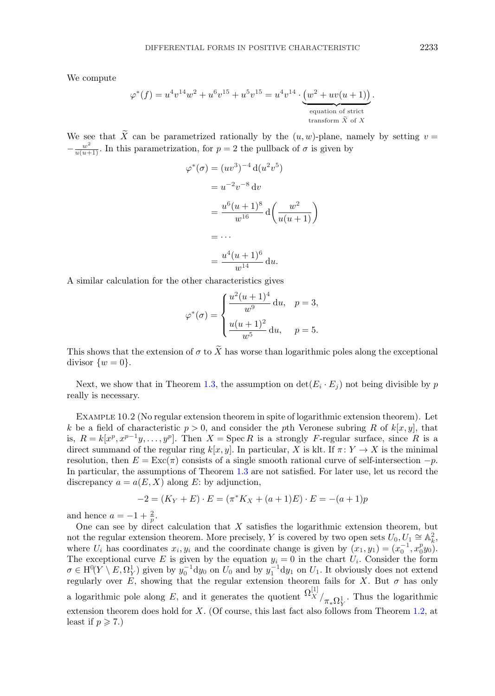<span id="page-25-0"></span>We compute

$$
\varphi^*(f) = u^4v^{14}w^2 + u^6v^{15} + u^5v^{15} = u^4v^{14} \cdot \underbrace{(w^2 + uv(u+1))}_{\text{equation of strict}}
$$
  
 
$$
\underbrace{(w^2 + uv(u+1))}_{\text{transform }\tilde{X} \text{ of } X}.
$$

We see that  $\widetilde{X}$  can be parametrized rationally by the  $(u, w)$ -plane, namely by setting  $v =$  $-\frac{w^2}{u(u+1)}$ . In this parametrization, for  $p=2$  the pullback of  $\sigma$  is given by

$$
\varphi^*(\sigma) = (uv^3)^{-4} d(u^2v^5)
$$
  
=  $u^{-2}v^{-8} dv$   
=  $\frac{u^6(u+1)^8}{w^{16}} d\left(\frac{w^2}{u(u+1)}\right)$   
=  $\cdots$   
=  $\frac{u^4(u+1)^6}{w^{14}} du$ .

A similar calculation for the other characteristics gives

$$
\varphi^*(\sigma) = \begin{cases} \frac{u^2(u+1)^4}{w^9} du, & p = 3, \\ \frac{u(u+1)^2}{w^5} du, & p = 5. \end{cases}
$$

This shows that the extension of  $\sigma$  to  $\widetilde{X}$  has worse than logarithmic poles along the exceptional divisor  $\{w = 0\}.$ 

Next, we show that in Theorem [1.3,](#page-2-0) the assumption on  $\det(E_i \cdot E_j)$  not being divisible by p really is necessary.

Example 10.2 (No regular extension theorem in spite of logarithmic extension theorem). Let k be a field of characteristic  $p > 0$ , and consider the pth Veronese subring R of k[x, y], that is,  $R = k[x^p, x^{p-1}y, \ldots, y^p]$ . Then  $X = \text{Spec } R$  is a strongly F-regular surface, since R is a direct summand of the regular ring  $k[x, y]$ . In particular, X is klt. If  $\pi: Y \to X$  is the minimal resolution, then  $E = \text{Exc}(\pi)$  consists of a single smooth rational curve of self-intersection  $-p$ . In particular, the assumptions of Theorem [1.3](#page-2-0) are not satisfied. For later use, let us record the discrepancy  $a = a(E, X)$  along E: by adjunction,

$$
-2 = (K_Y + E) \cdot E = (\pi^* K_X + (a+1)E) \cdot E = -(a+1)p
$$

and hence  $a = -1 + \frac{2}{p}$ .

One can see by direct calculation that  $X$  satisfies the logarithmic extension theorem, but not the regular extension theorem. More precisely, Y is covered by two open sets  $U_0, U_1 \cong \mathbb{A}_k^2$ , where  $U_i$  has coordinates  $x_i, y_i$  and the coordinate change is given by  $(x_1, y_1)=(x_0^{-1}, x_0^p y_0)$ . The exceptional curve E is given by the equation  $y_i = 0$  in the chart  $U_i$ . Consider the form  $\sigma \in H^0(Y \setminus E, \Omega_Y^1)$  given by  $y_0^{-1}dy_0$  on  $U_0$  and by  $y_1^{-1}dy_1$  on  $U_1$ . It obviously does not extend regularly over E, showing that the regular extension theorem fails for X. But  $\sigma$  has only a logarithmic pole along E, and it generates the quotient  $\Omega_X^{[1]} / \frac{1}{\pi_* \Omega_Y^1}$ . Thus the logarithmic extension theorem does hold for  $X$ . (Of course, this last fact also follows from Theorem [1.2,](#page-1-0) at least if  $p \geqslant 7$ .)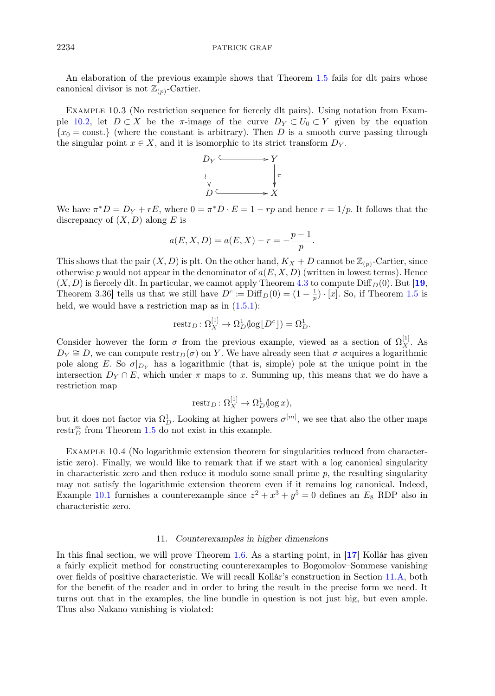## <span id="page-26-0"></span>2234 PATRICK GRAF

An elaboration of the previous example shows that Theorem [1.5](#page-2-0) fails for dlt pairs whose canonical divisor is not  $\mathbb{Z}_{(p)}$ -Cartier.

Example 10.3 (No restriction sequence for fiercely dlt pairs). Using notation from Exam-ple [10.2,](#page-25-0) let  $D \subset X$  be the  $\pi$ -image of the curve  $D_Y \subset U_0 \subset Y$  given by the equation  ${x_0 = \text{const.}}$  (where the constant is arbitrary). Then D is a smooth curve passing through the singular point  $x \in X$ , and it is isomorphic to its strict transform  $D<sub>Y</sub>$ .



We have  $\pi^*D = D_Y + rE$ , where  $0 = \pi^*D \cdot E = 1 - rp$  and hence  $r = 1/p$ . It follows that the discrepancy of  $(X, D)$  along E is

$$
a(E, X, D) = a(E, X) - r = -\frac{p-1}{p}.
$$

This shows that the pair  $(X, D)$  is plt. On the other hand,  $K_X + D$  cannot be  $\mathbb{Z}_{(p)}$ -Cartier, since otherwise p would not appear in the denominator of  $a(E, X, D)$  (written in lowest terms). Hence  $(X, D)$  is fiercely dlt. In particular, we cannot apply Theorem [4.3](#page-7-0) to compute  $\text{Diff}_D(0)$ . But [[19](#page-31-0), Theorem 3.36] tells us that we still have  $D^c \coloneqq \text{Diff}_D(0) = (1 - \frac{1}{p}) \cdot [x]$ . So, if Theorem [1.5](#page-2-0) is held, we would have a restriction map as in  $(1.5.1)$ :

$$
\text{restr}_D \colon \Omega_X^{[1]} \to \Omega_D^1(\text{log}\lfloor D^c \rfloor) = \Omega_D^1.
$$

Consider however the form  $\sigma$  from the previous example, viewed as a section of  $\Omega_X^{[1]}$ . As  $D_Y \cong D$ , we can compute restr<sub>D</sub>( $\sigma$ ) on Y. We have already seen that  $\sigma$  acquires a logarithmic pole along E. So  $\sigma|_{D_Y}$  has a logarithmic (that is, simple) pole at the unique point in the intersection  $D_Y \cap E$ , which under  $\pi$  maps to x. Summing up, this means that we do have a restriction map

$$
restr_D \colon \Omega_X^{[1]} \to \Omega_D^1(\log x),
$$

but it does not factor via  $\Omega_D^1$ . Looking at higher powers  $\sigma^{[m]}$ , we see that also the other maps restr<sup>m</sup> from Theorem [1.5](#page-2-0) do not exist in this example.

Example 10.4 (No logarithmic extension theorem for singularities reduced from characteristic zero). Finally, we would like to remark that if we start with a log canonical singularity in characteristic zero and then reduce it modulo some small prime  $p$ , the resulting singularity may not satisfy the logarithmic extension theorem even if it remains log canonical. Indeed, Example [10.1](#page-24-0) furnishes a counterexample since  $z^2 + x^3 + y^5 = 0$  defines an  $E_8$  RDP also in characteristic zero.

# 11. *Counterexamples in higher dimensions*

In this final section, we will prove Theorem [1.6.](#page-3-0) As a starting point, in [[17](#page-31-0)] Kollár has given a fairly explicit method for constructing counterexamples to Bogomolov–Sommese vanishing over fields of positive characteristic. We will recall Kollár's construction in Section [11.A,](#page-27-0) both for the benefit of the reader and in order to bring the result in the precise form we need. It turns out that in the examples, the line bundle in question is not just big, but even ample. Thus also Nakano vanishing is violated: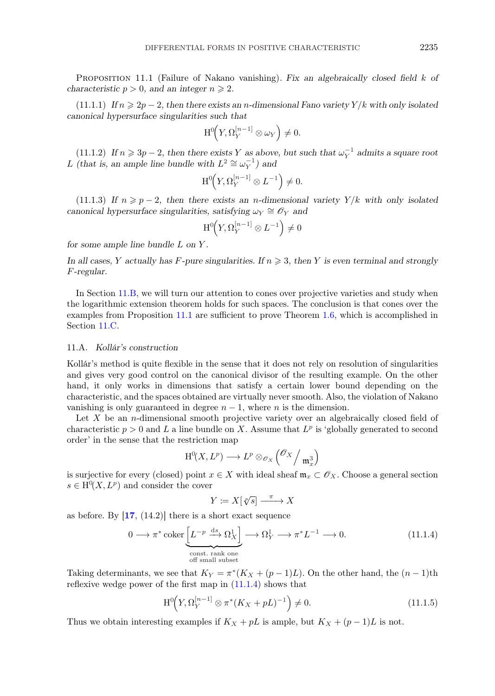<span id="page-27-0"></span>Proposition 11.1 (Failure of Nakano vanishing). *Fix an algebraically closed field* k *of characteristic*  $p > 0$ *, and an integer*  $n \ge 2$ *.* 

 $(11.1.1)$  *If*  $n \ge 2p - 2$ , then there exists an *n*-dimensional Fano variety  $Y/k$  with only isolated *canonical hypersurface singularities such that*

$$
\mathrm{H}^0\!\Big(Y,\Omega_Y^{[n-1]}\otimes\omega_Y\Big)\neq 0.
$$

(11.1.2) If  $n \ge 3p - 2$ , then there exists Y as above, but such that  $\omega_Y^{-1}$  admits a square root L (that is, an ample line bundle with  $L^2 \cong \omega_Y^{-1}$ ) and

$$
\mathrm{H}^0\!\Big(Y,\Omega_Y^{[n-1]}\otimes L^{-1}\Big)\neq 0.
$$

 $(11.1.3)$  *If*  $n \geq p-2$ , then there exists an *n*-dimensional variety  $Y/k$  with only isolated *canonical hypersurface singularities, satisfying*  $\omega_Y \cong \mathscr{O}_Y$  *and* 

$$
\mathrm{H}^0\!\left(Y,\Omega_Y^{[n-1]}\otimes L^{-1}\right)\neq 0
$$

*for some ample line bundle* L *on* Y *.*

In all cases, Y actually has F-pure singularities. If  $n \geqslant 3$ , then Y is even terminal and strongly F*-regular.*

In Section [11.B,](#page-28-0) we will turn our attention to cones over projective varieties and study when the logarithmic extension theorem holds for such spaces. The conclusion is that cones over the examples from Proposition 11.1 are sufficient to prove Theorem [1.6,](#page-3-0) which is accomplished in Section [11.C.](#page-30-0)

# 11.A. *Kollár's construction*

Kollár's method is quite flexible in the sense that it does not rely on resolution of singularities and gives very good control on the canonical divisor of the resulting example. On the other hand, it only works in dimensions that satisfy a certain lower bound depending on the characteristic, and the spaces obtained are virtually never smooth. Also, the violation of Nakano vanishing is only guaranteed in degree  $n-1$ , where n is the dimension.

Let  $X$  be an *n*-dimensional smooth projective variety over an algebraically closed field of characteristic  $p > 0$  and L a line bundle on X. Assume that  $L^p$  is 'globally generated to second order' in the sense that the restriction map

$$
\mathrm{H}^0(X, L^p) \longrightarrow L^p \otimes_{\mathscr{O}_X} \left( \mathscr{O}_X / \mathfrak{m}_x^3 \right)
$$

is surjective for every (closed) point  $x \in X$  with ideal sheaf  $\mathfrak{m}_x \subset \mathscr{O}_X$ . Choose a general section  $s \in H^0(X, L^p)$  and consider the cover

$$
Y \coloneqq X[\sqrt[p]{s}] \xrightarrow{\pi} X
$$

as before. By  $[17, (14.2)]$  $[17, (14.2)]$  $[17, (14.2)]$  there is a short exact sequence

$$
0 \longrightarrow \pi^* \operatorname{coker} \underbrace{\left[ L^{-p} \xrightarrow{\mathrm{ds}} \Omega_X^1 \right]}_{\text{const. rank one}} \longrightarrow \Omega_Y^1 \longrightarrow \pi^* L^{-1} \longrightarrow 0. \tag{11.1.4}
$$

Taking determinants, we see that  $K_Y = \pi^*(K_X + (p-1)L)$ . On the other hand, the  $(n-1)$ th reflexive wedge power of the first map in (11.1.4) shows that

$$
H^{0}\left(Y, \Omega_{Y}^{[n-1]} \otimes \pi^{*}(K_{X} + pL)^{-1}\right) \neq 0.
$$
\n(11.1.5)

Thus we obtain interesting examples if  $K_X + pL$  is ample, but  $K_X + (p-1)L$  is not.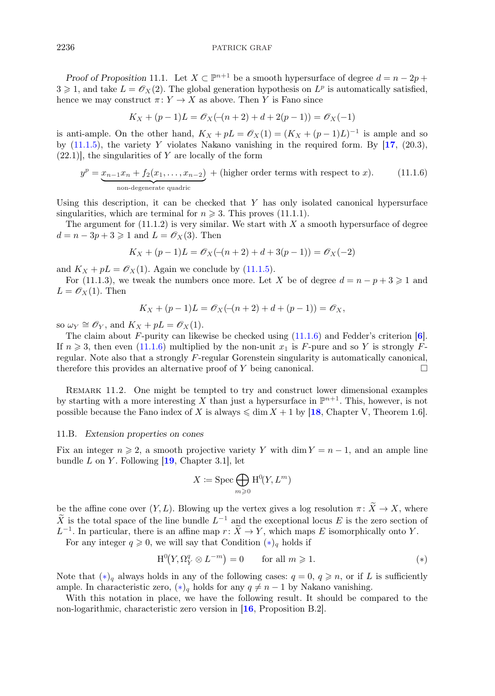<span id="page-28-0"></span>*Proof of Proposition* 11.1. Let  $X \subset \mathbb{P}^{n+1}$  be a smooth hypersurface of degree  $d = n - 2p + 1$  $3 \geqslant 1$ , and take  $L = \mathcal{O}_X(2)$ . The global generation hypothesis on  $L^p$  is automatically satisfied, hence we may construct  $\pi: Y \to X$  as above. Then Y is Fano since

$$
K_X + (p-1)L = \mathcal{O}_X(-(n+2) + d + 2(p-1)) = \mathcal{O}_X(-1)
$$

is anti-ample. On the other hand,  $K_X + pL = \mathcal{O}_X(1) = (K_X + (p-1)L)^{-1}$  is ample and so by  $(11.1.5)$ , the variety Y violates Nakano vanishing in the required form. By  $[17, (20.3),]$  $[17, (20.3),]$  $[17, (20.3),]$  $(22.1)$ , the singularities of Y are locally of the form

$$
y^{p} = \underbrace{x_{n-1}x_{n} + f_{2}(x_{1},...,x_{n-2})}_{\text{non-degenerate quadric}} + (\text{higher order terms with respect to } x). \tag{11.1.6}
$$

Using this description, it can be checked that  $Y$  has only isolated canonical hypersurface singularities, which are terminal for  $n \geqslant 3$ . This proves (11.1.1).

The argument for  $(11.1.2)$  is very similar. We start with X a smooth hypersurface of degree  $d = n - 3p + 3 \geqslant 1$  and  $L = \mathcal{O}_X(3)$ . Then

$$
K_X + (p-1)L = \mathcal{O}_X(-(n+2) + d + 3(p-1)) = \mathcal{O}_X(-2)
$$

and  $K_X + pL = \mathcal{O}_X(1)$ . Again we conclude by [\(11.1.5\)](#page-27-0).

For (11.1.3), we tweak the numbers once more. Let X be of degree  $d = n - p + 3 \geq 1$  and  $L = \mathcal{O}_X(1)$ . Then

$$
K_X + (p-1)L = \mathcal{O}_X(-(n+2) + d + (p-1)) = \mathcal{O}_X,
$$

so  $\omega_Y \cong \mathscr{O}_Y$ , and  $K_X + pL = \mathscr{O}_X(1)$ .

The claim about F-purity can likewise be checked using  $(11.1.6)$  $(11.1.6)$  $(11.1.6)$  and Fedder's criterion [6]. If  $n \geq 3$ , then even (11.1.6) multiplied by the non-unit  $x_1$  is F-pure and so Y is strongly Fregular. Note also that a strongly F-regular Gorenstein singularity is automatically canonical, therefore this provides an alternative proof of Y being canonical.  $\Box$ 

REMARK 11.2. One might be tempted to try and construct lower dimensional examples by starting with a more interesting X than just a hypersurface in  $\mathbb{P}^{n+1}$ . This, however, is not possible because the Fano index of X is always  $\leq \dim X + 1$  by [[18](#page-31-0), Chapter V, Theorem 1.6].

#### 11.B. *Extension properties on cones*

Fix an integer  $n \geqslant 2$ , a smooth projective variety Y with dim  $Y = n - 1$ , and an ample line bundle  $L$  on  $Y$ . Following  $[19,$  $[19,$  $[19,$  Chapter 3.1, let

$$
X\coloneqq\operatorname{Spec}\bigoplus_{m\geqslant 0}\operatorname{H}^0\!\!(Y,L^m)
$$

be the affine cone over  $(Y, L)$ . Blowing up the vertex gives a log resolution  $\pi \colon \widetilde{X} \to X$ , where  $\widetilde{X}$  is the total space of the line bundle  $L^{-1}$  and the exceptional locus E is the zero section of  $L^{-1}$ . In particular, there is an affine map  $r: \widetilde{X} \to Y$ , which maps E isomorphically onto Y.

For any integer  $q \geqslant 0$ , we will say that Condition  $(*)_q$  holds if

$$
H^{0}(Y, \Omega_{Y}^{q} \otimes L^{-m}) = 0 \quad \text{for all } m \geqslant 1.
$$
 (\*)

Note that  $(*)_q$  always holds in any of the following cases:  $q = 0, q \geq n$ , or if L is sufficiently ample. In characteristic zero,  $(*)_q$  holds for any  $q \neq n-1$  by Nakano vanishing.

With this notation in place, we have the following result. It should be compared to the non-logarithmic, characteristic zero version in [[16](#page-31-0), Proposition B.2].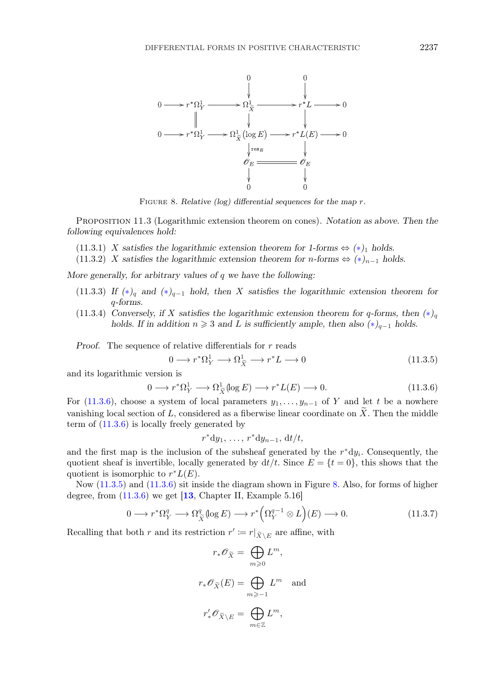<span id="page-29-0"></span>

Figure 8. *Relative (log) differential sequences for the map* <sup>r</sup>*.*

Proposition 11.3 (Logarithmic extension theorem on cones). *Notation as above. Then the following equivalences hold:*

- (11.3.1) X satisfies the logarithmic extension theorem for 1-forms  $\Leftrightarrow$   $(*)_1$  holds.
- (11.3.2) X satisfies the logarithmic extension theorem for  $n$ -forms  $\Leftrightarrow$   $(*)_{n-1}$  holds.

*More generally, for arbitrary values of* q *we have the following:*

- (11.3.3) *If (*[∗](#page-28-0)*)*<sup>q</sup> *and (*[∗](#page-28-0)*)*<sup>q</sup>−<sup>1</sup> *hold, then* X *satisfies the logarithmic extension theorem for* q*-forms.*
- (11.3.4) *Conversely, if* X *satisfies the logarithmic extension theorem for*  $q$ -forms, then  $(*)_q$ *holds.* If in addition  $n \geq 3$  and L is sufficiently ample, then also  $(*)_{q-1}$  holds.

*Proof.* The sequence of relative differentials for r reads

of relative differentials for 
$$
r
$$
 reads  
\n
$$
0 \longrightarrow r^*\Omega^1_Y \longrightarrow \Omega^1_{\widetilde{X}} \longrightarrow r^*L \longrightarrow 0
$$
\non is  
\n
$$
\longrightarrow r^*\Omega^1_Y \longrightarrow \Omega^1_{\widetilde{X}}(\log E) \longrightarrow r^*L(E) \longrightarrow 0.
$$
\n(11.3.6)

and its logarithmic version is

$$
0 \longrightarrow r^*\Omega^1_Y \longrightarrow \Omega^1_{\widetilde{X}}(\log E) \longrightarrow r^*L(E) \longrightarrow 0. \tag{11.3.6}
$$

For (11.3.6), choose a system of local parameters  $y_1, \ldots, y_{n-1}$  of Y and let t be a nowhere vanishing local section of L, considered as a fiberwise linear coordinate on  $\tilde{X}$ . Then the middle term of  $(11.3.6)$  is locally freely generated by

$$
r^*dy_1, \ldots, r^*dy_{n-1}, \mathrm{d}t/t,
$$

and the first map is the inclusion of the subsheaf generated by the  $r^*dy_i$ . Consequently, the quotient sheaf is invertible, locally generated by  $dt/t$ . Since  $E = \{t = 0\}$ , this shows that the quotient is isomorphic to  $r^*L(E)$ .

Now (11.3.5) and (11.3.6) sit inside the diagram shown in Figure 8. Also, for forms of higher degree, from  $(11.3.6)$  we get  $[13,$  $[13,$  $[13,$  Chapter II, Example 5.16]  $\frac{1}{C}$ <br> $\frac{q}{\tilde{X}}$ 

$$
0 \longrightarrow r^*\Omega^q_Y \longrightarrow \Omega^q_{\tilde{X}}(\log E) \longrightarrow r^*\Big(\Omega^{q-1}_Y \otimes L\Big)(E) \longrightarrow 0.
$$
\nboth  $r$  and its restriction  $r' := r|_{\tilde{X} \setminus E}$  are affine, with

\n
$$
(11.3.7)
$$

Recalling that both r and its restriction  $r' \coloneqq r|_{\widetilde{X} \setminus E}$  are affine, with

$$
\begin{aligned}\n\text{ariction } r' &:= r|_{\tilde{X} \setminus E} \text{ are affine} \\
r_* \mathscr{O}_{\tilde{X}} &= \bigoplus_{m \geq 0} L^m, \\
r_* \mathscr{O}_{\tilde{X}}(E) &= \bigoplus_{m \geq -1} L^m \text{ and} \\
r'_* \mathscr{O}_{\tilde{X} \setminus E} &= \bigoplus_{m \in \mathbb{Z}} L^m,\n\end{aligned}
$$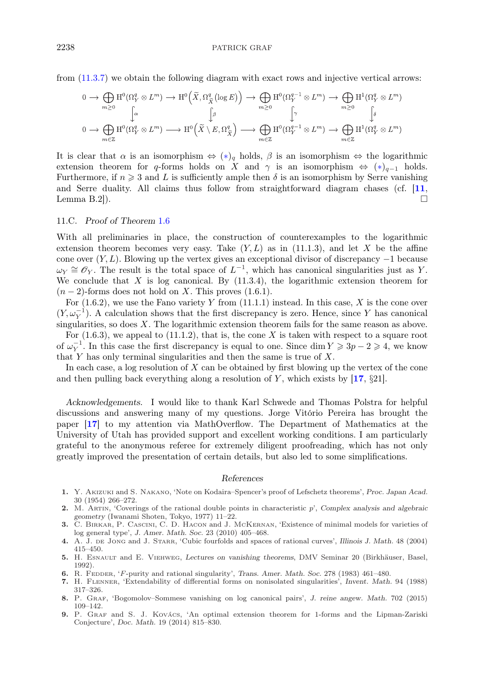<span id="page-30-0"></span>from [\(11.3.7\)](#page-29-0) we obtain the following diagram with exact rows and injective vertical arrows:

$$
0 \to \bigoplus_{m\geq 0} \mathrm{H}^0(\Omega^q_Y \otimes L^m) \to \mathrm{H}^0\left(\widetilde{X}, \Omega^q_{\widetilde{X}}\left(\log E\right)\right) \to \bigoplus_{m\geq 0} \mathrm{H}^0(\Omega^{q-1}_Y \otimes L^m) \to \bigoplus_{m\geq 0} \mathrm{H}^1(\Omega^q_Y \otimes L^m)
$$
  

$$
0 \to \bigoplus_{m\in\mathbb{Z}} \mathrm{H}^0(\Omega^q_Y \otimes L^m) \longrightarrow \mathrm{H}^0\left(\widetilde{X} \setminus E, \Omega^q_{\widetilde{X}}\right) \longrightarrow \bigoplus_{m\in\mathbb{Z}} \mathrm{H}^0(\Omega^{q-1}_Y \otimes L^m) \to \bigoplus_{m\in\mathbb{Z}} \mathrm{H}^1(\Omega^q_Y \otimes L^m)
$$

It is clear that  $\alpha$  is an isomorphism  $\Leftrightarrow$   $(*)_q$  holds,  $\beta$  is an isomorphism  $\Leftrightarrow$  the logarithmic extension theorem for q-forms holds on X and  $\gamma$  is an isomorphism  $\Leftrightarrow$   $(*)_{q-1}$  holds. Furthermore, if  $n \geq 3$  and L is sufficiently ample then  $\delta$  is an isomorphism by Serre vanishing and Serre duality. All claims thus follow from straightforward diagram chases (cf. [[11](#page-31-0), Lemma B.2]).  $\square$ 

## 11.C. *Proof of Theorem* [1.6](#page-3-0)

With all preliminaries in place, the construction of counterexamples to the logarithmic extension theorem becomes very easy. Take  $(Y, L)$  as in (11.1.3), and let X be the affine cone over  $(Y, L)$ . Blowing up the vertex gives an exceptional divisor of discrepancy  $-1$  because  $\omega_Y \cong \mathscr{O}_Y$ . The result is the total space of  $L^{-1}$ , which has canonical singularities just as Y. We conclude that X is log canonical. By  $(11.3.4)$ , the logarithmic extension theorem for  $(n-2)$ -forms does not hold on X. This proves  $(1.6.1)$ .

For  $(1.6.2)$ , we use the Fano variety Y from  $(11.1.1)$  instead. In this case, X is the cone over  $(Y, \omega_Y^{-1})$ . A calculation shows that the first discrepancy is zero. Hence, since Y has canonical singularities, so does  $X$ . The logarithmic extension theorem fails for the same reason as above.

For  $(1.6.3)$ , we appeal to  $(11.1.2)$ , that is, the cone X is taken with respect to a square root of  $\omega_Y^{-1}$ . In this case the first discrepancy is equal to one. Since dim  $Y \geq 3p - 2 \geq 4$ , we know that Y has only terminal singularities and then the same is true of  $X$ .

In each case, a log resolution of  $X$  can be obtained by first blowing up the vertex of the cone and then pulling back everything along a resolution of Y, which exists by  $[17, \S21]$  $[17, \S21]$  $[17, \S21]$ .

*Acknowledgements.* I would like to thank Karl Schwede and Thomas Polstra for helpful discussions and answering many of my questions. Jorge Vitório Pereira has brought the paper [[17](#page-31-0)] to my attention via MathOverflow. The Department of Mathematics at the University of Utah has provided support and excellent working conditions. I am particularly grateful to the anonymous referee for extremely diligent proofreading, which has not only greatly improved the presentation of certain details, but also led to some simplifications.

#### *References*

- 1. Y. Akizuki and S. Nakano, 'Note on Kodaira–Spencer's proof of Lefschetz theorems', *Proc. Japan Acad.* 30 (1954) 266–272.
- 2. M. Artin, 'Coverings of the rational double points in characteristic p', *Complex analysis and algebraic geometry* (Iwanami Shoten, Tokyo, 1977) 11–22.
- 3. C. Birkar, P. Cascini, C. D. Hacon and J. McKernan, 'Existence of minimal models for varieties of log general type', *J. Amer. Math. Soc.* 23 (2010) 405–468.
- 4. A. J. de Jong and J. Starr, 'Cubic fourfolds and spaces of rational curves', *Illinois J. Math.* 48 (2004) 415–450.
- 5. H. Esnault and E. Viehweg, *Lectures on vanishing theorems*, DMV Seminar 20 (Birkhäuser, Basel, 1992).
- 6. R. Fedder, 'F-purity and rational singularity', *Trans. Amer. Math. Soc.* 278 (1983) 461–480.
- 7. H. Flenner, 'Extendability of differential forms on nonisolated singularities', *Invent. Math.* 94 (1988) 317–326.
- 8. P. Graf, 'Bogomolov–Sommese vanishing on log canonical pairs', *J. reine angew. Math.* 702 (2015) 109–142.
- 9. P. Graf and S. J. Kovács, 'An optimal extension theorem for 1-forms and the Lipman-Zariski Conjecture', *Doc. Math.* 19 (2014) 815–830.